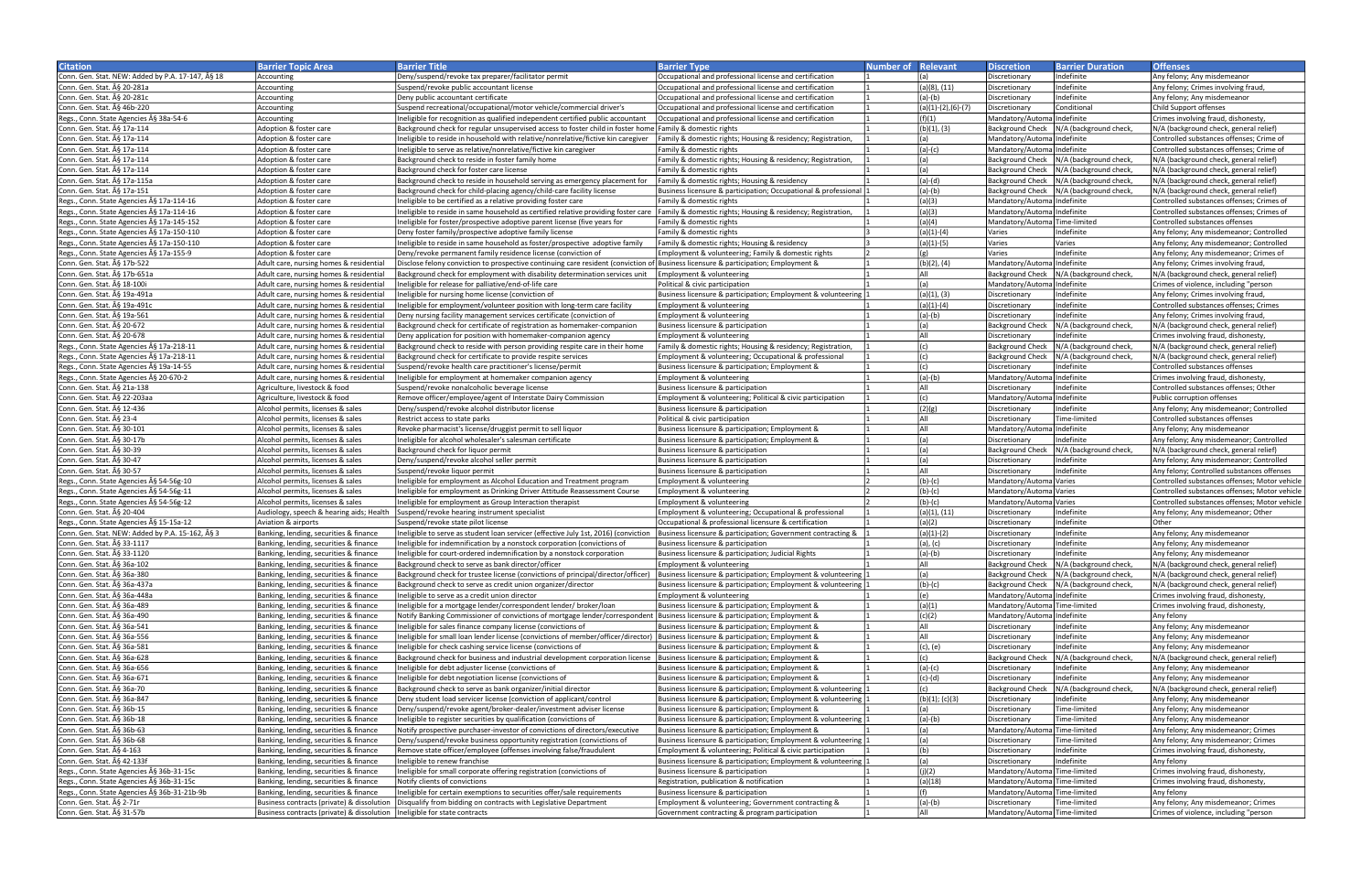| <b>Citation</b>                                  | <b>Barrier Topic Area</b>                                                   | <b>Barrier Title</b>                                                                                                                              | <b>Barrier Type</b>                                             | <b>Number of Relevant</b> |                    | <b>Discretion</b>             | <b>Barrier Duration</b>                   | <b>Offenses</b>                               |
|--------------------------------------------------|-----------------------------------------------------------------------------|---------------------------------------------------------------------------------------------------------------------------------------------------|-----------------------------------------------------------------|---------------------------|--------------------|-------------------------------|-------------------------------------------|-----------------------------------------------|
| Conn. Gen. Stat. NEW: Added by P.A. 17-147, § 18 | Accounting                                                                  | Deny/suspend/revoke tax preparer/facilitator permit                                                                                               | Occupational and professional license and certification         |                           | (a)                | Discretionary                 | Indefinite                                | Anv felonv: Anv misdemeanor                   |
| Conn. Gen. Stat. A § 20-281a                     | Accounting                                                                  | Suspend/revoke public accountant license                                                                                                          | Occupational and professional license and certification         |                           | (a)(8), (11)       | Discretionary                 | Indefinite                                | Any felony; Crimes involving fraud,           |
| Conn. Gen. Stat. § 20-281c                       |                                                                             |                                                                                                                                                   |                                                                 |                           |                    |                               | Indefinite                                |                                               |
|                                                  | Accounting                                                                  | Deny public accountant certificate                                                                                                                | Occupational and professional license and certification         |                           | (a)-(b)            | Discretionary                 |                                           | Any felony; Any misdemeanor                   |
| Conn. Gen. Stat. § 46b-220                       | Accounting                                                                  | Suspend recreational/occupational/motor vehicle/commercial driver's                                                                               | Occupational and professional license and certification         |                           | (a)(1)-(2),(6)-(7) | Discretionary                 | Conditional                               | Child Support offenses                        |
| Regs., Conn. State Agencies § 38a-54-6           | Accounting                                                                  | Ineligible for recognition as qualified independent certified public accountant                                                                   | Occupational and professional license and certification         |                           | (f)(1)             | Mandatory/AutomalIndefinite   |                                           | Crimes involving fraud, dishonesty,           |
| Conn. Gen. Stat. § 17a-114                       | Adoption & foster care                                                      | Background check for regular unsupervised access to foster child in foster home Family & domestic rights                                          |                                                                 |                           | (b)(1), (3)        |                               | Background Check   N/A (background check, | N/A (background check, general relief)        |
| Conn. Gen. Stat. § 17a-114                       | Adoption & foster care                                                      | Ineligible to reside in household with relative/nonrelative/fictive kin caregiver Family & domestic rights; Housing & residency; Registration     |                                                                 |                           | (a)                | Mandatory/AutomalIndefinite   |                                           | Controlled substances offenses; Crime of      |
| Conn. Gen. Stat. § 17a-114                       | Adoption & foster care                                                      | Ineligible to serve as relative/nonrelative/fictive kin caregiver                                                                                 | Family & domestic rights                                        |                           | $(a)-(c)$          | Mandatory/AutomalIndefinite   |                                           | Controlled substances offenses; Crime of      |
| Conn. Gen. Stat. § 17a-114                       | Adoption & foster care                                                      | Background check to reside in foster family home                                                                                                  | Family & domestic rights; Housing & residency; Registration,    |                           | (a)                |                               | Background Check   N/A (background check, | N/A (background check, general relief)        |
| Conn. Gen. Stat. § 17a-114                       | Adoption & foster care                                                      | Background check for foster care license                                                                                                          | Family & domestic rights                                        |                           | (a)                |                               | Background Check   N/A (background check, |                                               |
|                                                  |                                                                             |                                                                                                                                                   |                                                                 |                           |                    |                               |                                           | N/A (background check, general relief)        |
| Conn. Gen. Stat. § 17a-115a                      | Adoption & foster care                                                      | Background check to reside in household serving as emergency placement for                                                                        | Family & domestic rights; Housing & residency                   |                           | $(a)-(d)$          |                               | Background Check   N/A (background check, | N/A (background check, general relief)        |
| Conn. Gen. Stat. § 17a-151                       | Adoption & foster care                                                      | Background check for child-placing agency/child-care facility license                                                                             | Business licensure & participation; Occupational & professional |                           | $(a)-(b)$          |                               | Background Check   N/A (background check, | N/A (background check, general relief)        |
| Regs., Conn. State Agencies § 17a-114-16         | Adoption & foster care                                                      | Ineligible to be certified as a relative providing foster care                                                                                    | Family & domestic rights                                        |                           | (a)(3)             | Mandatory/AutomalIndefinite   |                                           | Controlled substances offenses; Crimes of     |
| Regs., Conn. State Agencies § 17a-114-16         | Adoption & foster care                                                      | Ineligible to reside in same household as certified relative providing foster care  Family & domestic rights; Housing & residency; Registration,  |                                                                 |                           | (a)(3)             | Mandatory/AutomalIndefinite   |                                           | Controlled substances offenses; Crimes of     |
| Regs., Conn. State Agencies § 17a-145-152        | Adoption & foster care                                                      | Ineligible for foster/prospective adoptive parent license (five vears for                                                                         | Family & domestic rights                                        |                           | (a)(4)             | Mandatory/Automa Time-limited |                                           | Controlled substances offenses                |
| Regs., Conn. State Agencies § 17a-150-110        | Adoption & foster care                                                      | Deny foster family/prospective adoptive family license                                                                                            | Family & domestic rights                                        |                           | $(a)(1)-(4)$       | Varies                        | Indefinite                                | Any felony; Any misdemeanor; Controlled       |
| Regs., Conn. State Agencies § 17a-150-110        | Adoption & foster care                                                      | Ineligible to reside in same household as foster/prospective adoptive family                                                                      | Family & domestic rights; Housing & residency                   |                           | $(a)(1)-(5)$       | Varies                        | Varies                                    | Any felony; Any misdemeanor; Controlled       |
|                                                  |                                                                             |                                                                                                                                                   |                                                                 |                           | ίσι                |                               | Indefinite                                |                                               |
| Regs., Conn. State Agencies § 17a-155-9          | Adoption & foster care                                                      | Deny/revoke permanent family residence license (conviction of                                                                                     | Employment & volunteering; Family & domestic rights             |                           |                    | Varies                        |                                           | Any felony; Any misdemeanor; Crimes of        |
| Conn. Gen. Stat. § 17b-522                       | Adult care, nursing homes & residential                                     | Disclose felony conviction to prospective continuing care resident (conviction of Business licensure & participation; Employment &                |                                                                 |                           | (b)(2), (4)        | Mandatory/AutomalIndefinite   |                                           | Any felony; Crimes involving fraud,           |
| Conn. Gen. Stat. § 17b-651a                      | Adult care, nursing homes & residential                                     | Background check for employment with disability determination services unit                                                                       | Employment & volunteering                                       |                           | All                |                               | Background Check   N/A (background check, | N/A (background check, general relief)        |
| Conn. Gen. Stat. § 18-100i                       | Adult care, nursing homes & residential                                     | Ineligible for release for palliative/end-of-life care                                                                                            | Political & civic participation                                 |                           | (a)                | Mandatory/Automa Indefinite   |                                           | Crimes of violence, including "person         |
| Conn. Gen. Stat. § 19a-491a                      | Adult care, nursing homes & residential                                     | Ineligible for nursing home license (conviction of                                                                                                | Business licensure & participation; Employment & volunteering   |                           | (a)(1), (3)        | Discretionary                 | Indefinite                                | Any felony; Crimes involving fraud,           |
| Conn. Gen. Stat. § 19a-491c                      | Adult care, nursing homes & residential                                     | Ineligible for employment/volunteer position with long-term care facility                                                                         | Employment & volunteering                                       |                           | $(a)(1)-(4)$       | Discretionary                 | Indefinite                                | Controlled substances offenses; Crimes        |
| Conn. Gen. Stat. § 19a-561                       |                                                                             |                                                                                                                                                   |                                                                 |                           |                    |                               | Indefinite                                |                                               |
|                                                  | Adult care, nursing homes & residential                                     | Deny nursing facility management services certificate (conviction of                                                                              | Employment & volunteering                                       |                           | (a)-(b)            | Discretionary                 |                                           | Any felony; Crimes involving fraud,           |
| Conn. Gen. Stat. § 20-672                        | Adult care, nursing homes & residential                                     | Background check for certificate of registration as homemaker-companion                                                                           | Business licensure & participation                              |                           | (a)                | <b>Background Check</b>       | N/A (background check,                    | N/A (background check, general relief)        |
| Conn. Gen. Stat. § 20-678                        | Adult care, nursing homes & residential                                     | Deny application for position with homemaker-companion agency                                                                                     | Employment & volunteering                                       |                           | All                | Discretionary                 | Indefinite                                | Crimes involving fraud, dishonesty,           |
| Regs., Conn. State Agencies § 17a-218-11         | Adult care, nursing homes & residential                                     | Background check to reside with person providing respite care in their home                                                                       | Family & domestic rights; Housing & residency; Registration     |                           | (c)                | <b>Background Check</b>       | N/A (background check,                    | N/A (background check, general relief)        |
| Regs., Conn. State Agencies § 17a-218-11         | Adult care, nursing homes & residential                                     | Background check for certificate to provide respite services                                                                                      | Employment & volunteering; Occupational & professional          |                           | (c)                | <b>Background Check</b>       | N/A (background check,                    | N/A (background check, general relief)        |
| Regs., Conn. State Agencies § 19a-14-55          | Adult care, nursing homes & residential                                     | Suspend/revoke health care practitioner's license/permit                                                                                          | Business licensure & participation; Employment &                |                           | (c)                | Discretionary                 | Indefinite                                | Controlled substances offenses                |
| Regs., Conn. State Agencies § 20-670-2           | Adult care, nursing homes & residential                                     | Ineligible for employment at homemaker companion agency                                                                                           | Employment & volunteering                                       |                           | $(a)-(b)$          | Mandatory/Automa Indefinite   |                                           | Crimes involving fraud, dishonesty,           |
|                                                  |                                                                             |                                                                                                                                                   |                                                                 |                           | All                |                               |                                           |                                               |
| Conn. Gen. Stat. § 21a-138                       | Agriculture, livestock & food                                               | Suspend/revoke nonalcoholic beverage license                                                                                                      | Business licensure & participation                              |                           |                    | Discretionary                 | Indefinite                                | Controlled substances offenses; Other         |
| Conn. Gen. Stat. § 22-203aa                      | Agriculture, livestock & food                                               | Remove officer/employee/agent of Interstate Dairy Commission                                                                                      | Employment & volunteering; Political & civic participation      |                           | (c)                | Mandatory/AutomalIndefinite   |                                           | Public corruption offenses                    |
| Conn. Gen. Stat. § 12-436                        | Alcohol permits, licenses & sales                                           | Deny/suspend/revoke alcohol distributor license                                                                                                   | Business licensure & participation                              |                           | (2)(g)             | Discretionary                 | Indefinite                                | Any felony; Any misdemeanor; Controlled       |
| Conn. Gen. Stat. § 23-4                          | Alcohol permits, licenses & sales                                           | Restrict access to state parks                                                                                                                    | Political & civic participation                                 |                           | laii               | Discretionary                 | Time-limited                              | Controlled substances offenses                |
| Conn. Gen. Stat. ħ 30-101                        | Alcohol permits, licenses & sales                                           | Revoke pharmacist's license/druggist permit to sell liquor                                                                                        | Business licensure & participation; Employment &                |                           | laii               | Mandatory/Automa Indefinite   |                                           | Any felony; Any misdemeanor                   |
| Conn. Gen. Stat. § 30-17b                        | Alcohol permits, licenses & sales                                           | Ineligible for alcohol wholesaler's salesman certificate                                                                                          | Business licensure & participation; Employment &                |                           | (a)                | Discretionary                 | Indefinite                                | Any felony; Any misdemeanor; Controlled       |
| Conn. Gen. Stat. § 30-39                         | Alcohol permits, licenses & sales                                           | Background check for liquor permit                                                                                                                | Business licensure & participation                              |                           | (a)                | <b>Background Check</b>       | N/A (background check,                    | N/A (background check, general relief)        |
|                                                  |                                                                             |                                                                                                                                                   |                                                                 |                           |                    |                               |                                           |                                               |
| Conn. Gen. Stat. § 30-47                         | Alcohol permits, licenses & sales                                           | Deny/suspend/revoke alcohol seller permit                                                                                                         | Business licensure & participation                              |                           | (a)                | Discretionary                 | Indefinite                                | Any felony; Any misdemeanor; Controlled       |
| Conn. Gen. Stat. § 30-57                         | Alcohol permits, licenses & sales                                           | Suspend/revoke liquor permit                                                                                                                      | Business licensure & participation                              |                           | All                | Discretionary                 | Indefinite                                | Any felony; Controlled substances offenses    |
| Regs., Conn. State Agencies § 54-56g-10          | Alcohol permits, licenses & sales                                           | Ineligible for employment as Alcohol Education and Treatment program                                                                              | Employment & volunteering                                       |                           | $(b)-(c)$          | Mandatory/Automa Varies       |                                           | Controlled substances offenses; Motor vehicle |
| Regs., Conn. State Agencies § 54-56g-11          | Alcohol permits, licenses & sales                                           | Ineligible for employment as Drinking Driver Attitude Reassessment Course                                                                         | Employment & volunteering                                       |                           | $(b)-(c)$          | Mandatory/Automa Varies       |                                           | Controlled substances offenses: Motor vehicle |
| Regs., Conn. State Agencies § 54-56g-12          | Alcohol permits, licenses & sales                                           | Ineligible for employment as Group Interaction therapist                                                                                          | Employment & volunteering                                       |                           | $(b)-(c)$          | Mandatory/Automa Varies       |                                           | Controlled substances offenses: Motor vehicle |
| Conn. Gen. Stat. § 20-404                        |                                                                             | Audiology, speech & hearing aids; Health Suspend/revoke hearing instrument specialist                                                             | Employment & volunteering; Occupational & professional          |                           | (a)(1), (11)       | Discretionary                 | Indefinite                                | Any felony; Any misdemeanor; Other            |
| Regs., Conn. State Agencies § 15-15a-12          | Aviation & airports                                                         | Suspend/revoke state pilot license                                                                                                                | Occupational & professional licensure & certification           |                           | (a)(2)             | Discretionary                 | Indefinite                                | Other                                         |
| Conn. Gen. Stat. NEW: Added by P.A. 15-162. § 3  |                                                                             |                                                                                                                                                   |                                                                 |                           |                    |                               |                                           |                                               |
|                                                  | Banking, lending, securities & finance                                      | Ineligible to serve as student loan servicer (effective July 1st, 2016) (conviction  Business licensure & participation; Government contracting & |                                                                 |                           | $(a)(1)-(2)$       | Discretionary                 | Indefinite                                | Any felony; Any misdemeanor                   |
| Conn. Gen. Stat. § 33-1117                       | Banking, lending, securities & finance                                      | Ineligible for indemnification by a nonstock corporation (convictions of                                                                          | Business licensure & participation                              |                           | (a), (c)           | Discretionary                 | Indefinite                                | Any felony; Any misdemeanor                   |
| Conn. Gen. Stat. § 33-1120                       | Banking, lending, securities & finance                                      | Ineligible for court-ordered indemnification by a nonstock corporation                                                                            | Business licensure & participation; Judicial Rights             |                           | $(a)-(b)$          | Discretionary                 | Indefinite                                | Any felony; Any misdemeanor                   |
| Conn. Gen. Stat. § 36a-102                       | Banking, lending, securities & finance                                      | Background check to serve as bank director/officer                                                                                                | Employment & volunteering                                       |                           | All                |                               | Background Check   N/A (background check, | N/A (background check, general relief)        |
| Conn. Gen. Stat. § 36a-380                       | Banking, lending, securities & finance                                      | Background check for trustee license (convictions of principal/director/officer)  Business licensure & participation; Employment & volunteering   |                                                                 |                           | (a)                |                               | Background Check   N/A (background check, | N/A (background check, general relief)        |
| Conn. Gen. Stat. § 36a-437a                      | Banking, lending, securities & finance                                      | Background check to serve as credit union organizer/director                                                                                      | Business licensure & participation; Employment & volunteering   |                           | $(b)-(c)$          |                               | Background Check   N/A (background check, | N/A (background check, general relief)        |
| Conn. Gen. Stat. § 36a-448a                      | Banking, lending, securities & finance                                      | Ineligible to serve as a credit union director                                                                                                    | Employment & volunteering                                       |                           | (e)                | Mandatory/Automa Indefinite   |                                           | Crimes involving fraud, dishonesty,           |
|                                                  |                                                                             |                                                                                                                                                   | Business licensure & participation; Employment &                |                           |                    |                               |                                           |                                               |
| Conn. Gen. Stat. ħ 36a-489                       | Banking, lending, securities & finance                                      | Ineligible for a mortgage lender/correspondent lender/ broker/loan                                                                                |                                                                 |                           | (a)(1)             | Mandatory/Automa Time-limited |                                           | Crimes involving fraud, dishonesty,           |
| Conn. Gen. Stat. § 36a-490                       | Banking, lending, securities & finance                                      | Notify Banking Commissioner of convictions of mortgage lender/correspondent Business licensure & participation; Employment &                      |                                                                 |                           | (c)(2)             | Mandatory/Automa Indefinite   |                                           | Any felony                                    |
| Conn. Gen. Stat. § 36a-541                       | Banking, lending, securities & finance                                      | Ineligible for sales finance company license (convictions of                                                                                      | Business licensure & participation; Employment &                |                           | All                | Discretionary                 | Indefinite                                | Any felony; Any misdemeanor                   |
| Conn. Gen. Stat. § 36a-556                       | Banking, lending, securities & finance                                      | Ineligible for small loan lender license (convictions of member/officer/director)  Business licensure & participation; Employment &               |                                                                 |                           | All                | Discretionary                 | Indefinite                                | Any felony; Any misdemeanor                   |
| Conn. Gen. Stat. § 36a-581                       | Banking, lending, securities & finance                                      | Ineligible for check cashing service license (convictions of                                                                                      | Business licensure & participation; Employment &                |                           | (c), (e)           | Discretionary                 | Indefinite                                | Any felony; Any misdemeanor                   |
| Conn. Gen. Stat. § 36a-628                       | Banking, lending, securities & finance                                      | Background check for business and industrial development corporation license  Business licensure & participation; Employment &                    |                                                                 |                           | (c)                | <b>Background Check</b>       | N/A (background check,                    | N/A (background check, general relief)        |
| Conn. Gen. Stat. § 36a-656                       | Banking, lending, securities & finance                                      | Ineligible for debt adjuster license (convictions of                                                                                              | Business licensure & participation; Employment &                |                           | $(a)-(c)$          | Discretionary                 | Indefinite                                | Any felony; Any misdemeanor                   |
| Conn. Gen. Stat. § 36a-671                       | Banking, lending, securities & finance                                      | Ineligible for debt negotiation license (convictions of                                                                                           | Business licensure & participation; Employment &                |                           | (c)-(d)            | Discretionary                 | Indefinite                                | Any felony; Any misdemeanor                   |
|                                                  |                                                                             |                                                                                                                                                   |                                                                 |                           |                    |                               |                                           |                                               |
| Conn. Gen. Stat. § 36a-70                        | Banking, lending, securities & finance                                      | Background check to serve as bank organizer/initial director                                                                                      | Business licensure & participation; Employment & volunteering   |                           | (c)                | <b>Background Check</b>       | N/A (background check,                    | N/A (background check, general relief)        |
| Conn. Gen. Stat. § 36a-847                       | Banking, lending, securities & finance                                      | Deny student load servicer license (conviction of applicant/control                                                                               | Business licensure & participation; Employment & volunteering   |                           | (b)(1); (c)(3)     | Discretionary                 | Indefinite                                | Any felony; Any misdemeanor                   |
| Conn. Gen. Stat. § 36b-15                        | Banking, lending, securities & finance                                      | Deny/suspend/revoke agent/broker-dealer/investment adviser license                                                                                | Business licensure & participation; Employment &                |                           | (a)                | Discretionary                 | Time-limited                              | Any felony; Any misdemeanor                   |
| Conn. Gen. Stat. § 36b-18                        | Banking, lending, securities & finance                                      | Ineligible to register securities by qualification (convictions of                                                                                | Business licensure & participation; Employment & volunteering   |                           | $(a)-(b)$          | Discretionary                 | Time-limited                              | Any felony; Any misdemeanor                   |
| Conn. Gen. Stat. § 36b-63                        | Banking, lending, securities & finance                                      | Notify prospective purchaser-investor of convictions of directors/executive                                                                       | Business licensure & participation; Employment &                |                           | (a)                | Mandatory/Automa Time-limited |                                           | Any felony; Any misdemeanor; Crimes           |
| Conn. Gen. Stat. A§ 36b-68                       | Banking, lending, securities & finance                                      | Deny/suspend/revoke business opportunity registration (convictions of                                                                             | Business licensure & participation; Employment & volunteering   |                           | (a)                | Discretionary                 | Time-limited                              | Any felony; Any misdemeanor; Crimes           |
| Conn. Gen. Stat. § 4-163                         | Banking, lending, securities & finance                                      | Remove state officer/employee (offenses involving false/fraudulent                                                                                | Employment & volunteering; Political & civic participation      |                           | (b)                | Discretionary                 | Indefinite                                | Crimes involving fraud, dishonesty,           |
| Conn. Gen. Stat. § 42-133f                       |                                                                             |                                                                                                                                                   |                                                                 |                           |                    |                               | Indefinite                                |                                               |
|                                                  | Banking, lending, securities & finance                                      | Ineligible to renew franchise                                                                                                                     | Business licensure & participation; Employment & volunteering   |                           | (a)                | Discretionary                 |                                           | Any felony                                    |
| Regs., Conn. State Agencies § 36b-31-15c         | Banking, lending, securities & finance                                      | Ineligible for small corporate offering registration (convictions of                                                                              | Business licensure & participation                              |                           | (i)(2)             | Mandatory/Automa Time-limited |                                           | Crimes involving fraud, dishonesty,           |
| Regs., Conn. State Agencies § 36b-31-15c         | Banking, lending, securities & finance                                      | Notify clients of convictions                                                                                                                     | Registration, publication & notification                        |                           | (a)(18)            | Mandatory/AutomalTime-limited |                                           | Crimes involving fraud, dishonesty,           |
| Regs., Conn. State Agencies § 36b-31-21b-9b      | Banking, lending, securities & finance                                      | Ineligible for certain exemptions to securities offer/sale requirements                                                                           | Business licensure & participation                              |                           | (f)                | Mandatory/Automa Time-limited |                                           | Any felony                                    |
| Conn. Gen. Stat. § 2-71r                         |                                                                             | Business contracts (private) & dissolution   Disqualify from bidding on contracts with Legislative Department                                     | Employment & volunteering; Government contracting &             |                           | $(a)-(b)$          | Discretionary                 | ime-limited                               | Any felony; Any misdemeanor; Crimes           |
| Conn. Gen. Stat. § 31-57b                        | Business contracts (private) & dissolution   Ineligible for state contracts |                                                                                                                                                   | Government contracting & program participation                  |                           | All                | Mandatory/Automa Time-limited |                                           | Crimes of violence, including "person         |
|                                                  |                                                                             |                                                                                                                                                   |                                                                 |                           |                    |                               |                                           |                                               |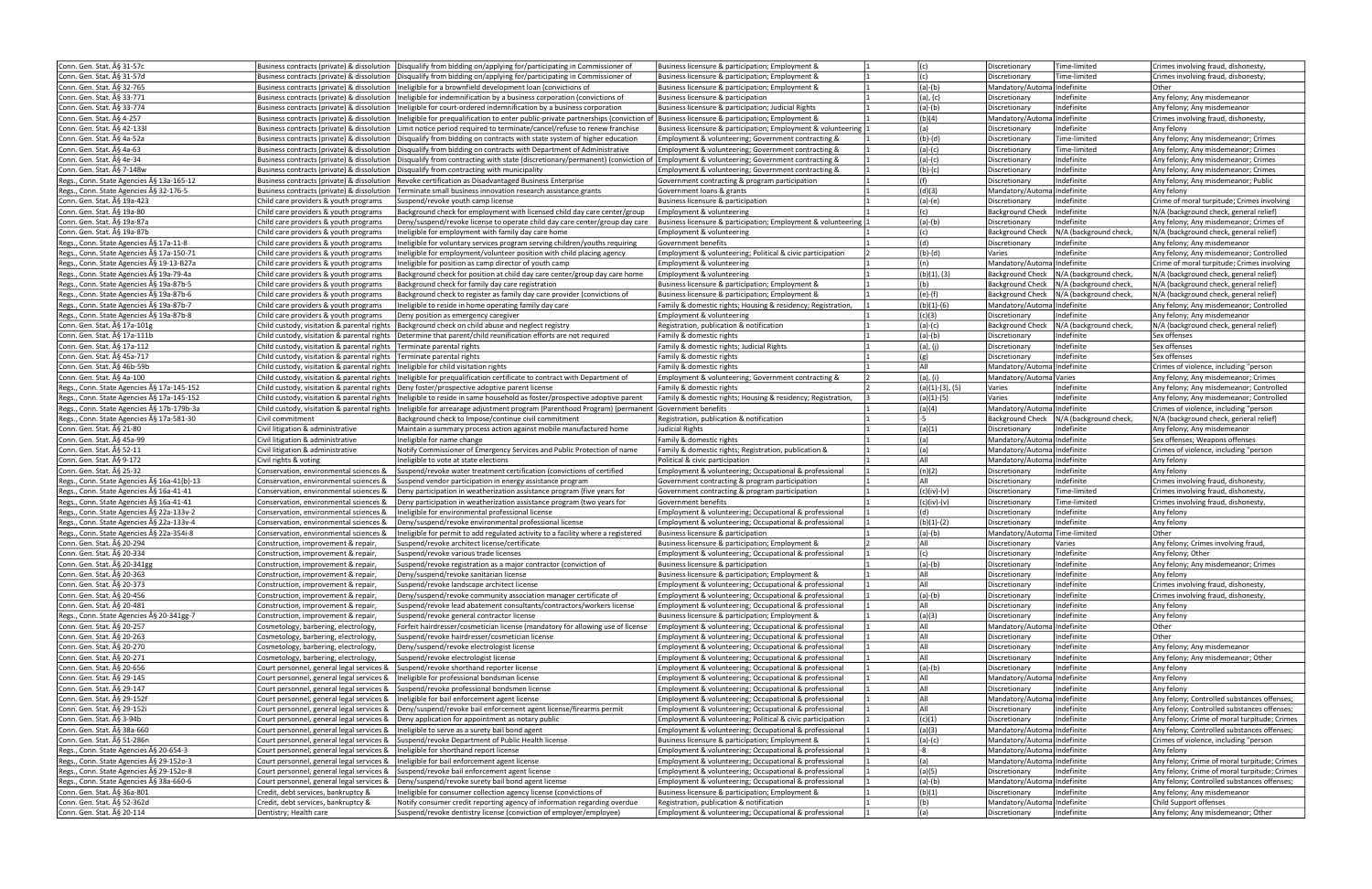| Conn. Gen. Stat. § 31-57c                  |                                                                                      | Business contracts (private) & dissolution   Disqualify from bidding on/applying for/participating in Commissioner of                         | Business licensure & participation; Employment &              | (c)               | Discretionary                 | Time-limited                              | Crimes involving fraud, dishonesty,          |
|--------------------------------------------|--------------------------------------------------------------------------------------|-----------------------------------------------------------------------------------------------------------------------------------------------|---------------------------------------------------------------|-------------------|-------------------------------|-------------------------------------------|----------------------------------------------|
|                                            |                                                                                      |                                                                                                                                               |                                                               | (c)               |                               |                                           |                                              |
| Conn. Gen. Stat. § 31-57d                  | Business contracts (private) & dissolution                                           | Disqualify from bidding on/applying for/participating in Commissioner of                                                                      | Business licensure & participation: Employment &              |                   | Discretionary                 | Time-limited                              | Crimes involving fraud, dishonesty           |
| Conn. Gen. Stat. A§ 32-765                 | Business contracts (private) & dissolution                                           | Ineligible for a brownfield development loan (convictions of                                                                                  | Business licensure & participation; Employment &              | $(a)-(b)$         | Mandatory/Automa Indefinite   |                                           | Other                                        |
| Conn. Gen. Stat. § 33-771                  | Business contracts (private) & dissolution                                           | Ineligible for indemnification by a business corporation (convictions of                                                                      | <b>Business licensure &amp; participation</b>                 | (a), (c)          | Discretionary                 | Indefinite                                | Any felony; Any misdemeanor                  |
| Conn. Gen. Stat. § 33-774                  | Business contracts (private) & dissolution                                           | Ineligible for court-ordered indemnification by a business corporation                                                                        | Business licensure & participation; Judicial Rights           | (a)-(b)           | Discretionary                 | Indefinite                                | Any felony; Any misdemeanor                  |
|                                            |                                                                                      |                                                                                                                                               |                                                               |                   |                               |                                           |                                              |
| Conn. Gen. Stat. § 4-257                   | Business contracts (private) & dissolution                                           | Ineligible for prequalification to enter public-private partnerships (conviction of  Business licensure & participation; Employment &         |                                                               | (b)(4)            | Mandatory/Automa Indefinite   |                                           | Crimes involving fraud, dishonesty,          |
| Conn. Gen. Stat. § 42-133l                 | Business contracts (private) & dissolution                                           | Limit notice period required to terminate/cancel/refuse to renew franchise                                                                    | Business licensure & participation: Employment & volunteering | (a)               | Discretionary                 | Indefinite                                | Any felony                                   |
| Conn. Gen. Stat. § 4a-52a                  | Business contracts (private) & dissolution                                           | Disqualify from bidding on contracts with state system of higher education                                                                    | Employment & volunteering; Government contracting &           | $(b)-(d)$         | Discretionary                 | Time-limited                              | Any felony; Any misdemeanor; Crimes          |
|                                            |                                                                                      |                                                                                                                                               |                                                               |                   |                               |                                           |                                              |
| Conn. Gen. Stat. § 4a-63                   | Business contracts (private) & dissolution                                           | Disqualify from bidding on contracts with Department of Administrative                                                                        | Employment & volunteering; Government contracting &           | $(a)-(c)$         | Discretionary                 | Time-limited                              | Any felony; Any misdemeanor; Crimes          |
| Conn. Gen. Stat. § 4e-34                   | Business contracts (private) & dissolution                                           | Disqualify from contracting with state (discretionary/permanent) (conviction of  Employment & volunteering; Government contracting &          |                                                               | $(a)-(c)$         | Discretionary                 | Indefinite                                | Any felony; Any misdemeanor; Crimes          |
| Conn. Gen. Stat. § 7-148w                  | Business contracts (private) & dissolution                                           | Disqualify from contracting with municipality                                                                                                 | Employment & volunteering; Government contracting &           | $(b)-(c)$         | Discretionary                 | Indefinite                                | Any felony; Any misdemeanor; Crimes          |
|                                            |                                                                                      |                                                                                                                                               |                                                               |                   |                               |                                           |                                              |
| Regs., Conn. State Agencies § 13a-165-12   | Business contracts (private) & dissolution                                           | Revoke certification as Disadvantaged Business Enterprise                                                                                     | Government contracting & program participation                |                   | Discretionary                 | Indefinite                                | Any felony; Any misdemeanor; Public          |
| Regs., Conn. State Agencies § 32-176-5     | Business contracts (private) & dissolution                                           | Terminate small business innovation research assistance grants                                                                                | Government loans & grants                                     | (d)(3)            | Mandatory/Automa Indefinite   |                                           | Any felony                                   |
| Conn. Gen. Stat. § 19a-423                 | Child care providers & youth programs                                                | Suspend/revoke youth camp license                                                                                                             | Business licensure & participation                            | $(a)-(e)$         | Discretionary                 | Indefinite                                | Crime of moral turpitude; Crimes involving   |
|                                            |                                                                                      |                                                                                                                                               |                                                               |                   |                               |                                           |                                              |
| Conn. Gen. Stat. § 19a-80                  | Child care providers & youth programs                                                | Background check for employment with licensed child day care center/group                                                                     | Employment & volunteering                                     | (c)               | <b>Background Check</b>       | Indefinite                                | N/A (background check, general relief)       |
| Conn. Gen. Stat. ħ 19a-87a                 | Child care providers & youth programs                                                | Deny/suspend/revoke license to operate child day care center/group day care                                                                   | Business licensure & participation; Employment & volunteering | $(a)-(b)$         | Discretionary                 | Indefinite                                | Any felony; Any misdemeanor; Crimes of       |
| Conn. Gen. Stat. § 19a-87b                 | Child care providers & youth programs                                                | neligible for employment with family day care home                                                                                            | Employment & volunteering                                     | (c)               | <b>Background Check</b>       | N/A (background check,                    | N/A (background check, general relief)       |
|                                            |                                                                                      |                                                                                                                                               |                                                               |                   |                               |                                           |                                              |
| Regs., Conn. State Agencies § 17a-11-8     | Child care providers & youth programs                                                | neligible for voluntary services program serving children/youths requiring                                                                    | Government benefits                                           | (d)               | Discretionary                 | Indefinite                                | Any felony; Any misdemeanor                  |
| Regs., Conn. State Agencies § 17a-150-71   | Child care providers & youth programs                                                | neligible for employment/volunteer position with child placing agency                                                                         | Employment & volunteering; Political & civic participation    | (b)-(d)           | Varies                        | Indefinite                                | Any felony; Any misdemeanor; Controlled      |
| Regs., Conn. State Agencies § 19-13-B27a   | Child care providers & youth programs                                                | Ineligible for position as camp director of youth camp                                                                                        | Employment & volunteering                                     | (n)               | Mandatory/Automa Indefinite   |                                           | Crime of moral turpitude; Crimes involving   |
|                                            |                                                                                      |                                                                                                                                               |                                                               |                   |                               |                                           |                                              |
| Regs., Conn. State Agencies § 19a-79-4a    | Child care providers & youth programs                                                | Background check for position at child day care center/group day care home                                                                    | Employment & volunteering                                     | (b)(1), (3)       |                               | Background Check   N/A (background check, | N/A (background check, general relief)       |
| Regs., Conn. State Agencies § 19a-87b-5    | Child care providers & youth programs                                                | Background check for family day care registration                                                                                             | Business licensure & participation; Employment &              | (b)               |                               | Background Check   N/A (background check, | N/A (background check, general relief)       |
| Regs., Conn. State Agencies § 19a-87b-6    | Child care providers & youth programs                                                | Background check to register as family day care provider (convictions of                                                                      | Business licensure & participation; Employment &              | $(e)-(f)$         |                               | Background Check   N/A (background check, | N/A (background check, general relief)       |
|                                            |                                                                                      |                                                                                                                                               |                                                               |                   |                               |                                           |                                              |
| Regs., Conn. State Agencies § 19a-87b-7    | Child care providers & youth programs                                                | Ineligible to reside in home operating family day care                                                                                        | Family & domestic rights; Housing & residency; Registration,  | $(b)(1)-(6)$      | Mandatory/Automa Indefinite   |                                           | Any felony; Any misdemeanor; Controlled      |
| Regs., Conn. State Agencies § 19a-87b-8    | Child care providers & youth programs                                                | Deny position as emergency caregiver                                                                                                          | Employment & volunteering                                     | (c)(3)            | Discretionary                 | Indefinite                                | Any felony; Any misdemeanor                  |
| Conn. Gen. Stat. § 17a-101g                |                                                                                      | Child custody, visitation & parental rights   Background check on child abuse and neglect registry                                            | Registration, publication & notification                      | $(a)-(c)$         | <b>Background Check</b>       | N/A (background check,                    | N/A (background check, general relief)       |
|                                            |                                                                                      |                                                                                                                                               |                                                               |                   |                               |                                           |                                              |
| Conn. Gen. Stat. § 17a-111b                |                                                                                      | Child custody, visitation & parental rights   Determine that parent/child reunification efforts are not required                              | Family & domestic rights                                      | $(a)-(b)$         | Discretionary                 | Indefinite                                | Sex offenses                                 |
| Conn. Gen. Stat. § 17a-112                 | Child custody, visitation & parental rights                                          | Terminate parental rights                                                                                                                     | Family & domestic rights; Judicial Rights                     | (a), (j)          | Discretionary                 | Indefinite                                | Sex offenses                                 |
| Conn. Gen. Stat. § 45a-717                 | Child custody, visitation & parental rights Terminate parental rights                |                                                                                                                                               | Family & domestic rights                                      | (g)               | Discretionary                 | Indefinite                                | Sex offenses                                 |
|                                            |                                                                                      |                                                                                                                                               |                                                               |                   |                               |                                           |                                              |
| Conn. Gen. Stat. § 46b-59b                 | Child custody, visitation & parental rights   Ineligible for child visitation rights |                                                                                                                                               | Family & domestic rights                                      | All               | Mandatory/Automa Indefinite   |                                           | Crimes of violence, including "person        |
| Conn. Gen. Stat. § 4a-100                  |                                                                                      | Child custody, visitation & parental rights   Ineligible for prequalification certificate to contract with Department of                      | Employment & volunteering; Government contracting &           | (a), (i)          | Mandatory/Automa Varies       |                                           | Any felony; Any misdemeanor; Crimes          |
|                                            |                                                                                      |                                                                                                                                               |                                                               |                   |                               | Indefinite                                |                                              |
| Regs., Conn. State Agencies § 17a-145-152  |                                                                                      | Child custody, visitation & parental rights   Deny foster/prospective adoptive parent license                                                 | Family & domestic rights                                      | $(a)(1)-(3), (5)$ | Varies                        |                                           | Any felony; Any misdemeanor; Controlled      |
| Regs., Conn. State Agencies § 17a-145-152  |                                                                                      | Child custody, visitation & parental rights  Ineligible to reside in same household as foster/prospective adoptive parent                     | Family & domestic rights; Housing & residency; Registration,  | (a)(1)-(5)        | Varies                        | Indefinite                                | Any felony; Any misdemeanor; Controlled      |
| Regs., Conn. State Agencies § 17b-179b-3a  |                                                                                      | Child custody, visitation & parental rights  Ineligible for arrearage adjustment program (Parenthood Program) (permanent  Government benefits |                                                               | (a)(4)            | Mandatory/Automa Indefinite   |                                           | Crimes of violence, including "person        |
|                                            |                                                                                      |                                                                                                                                               |                                                               | -5                |                               |                                           |                                              |
| Regs., Conn. State Agencies § 17a-581-30   | Civil commitment                                                                     | Background check to Impose/continue civil commitment                                                                                          | Registration, publication & notification                      |                   | <b>Background Check</b>       | N/A (background check,                    | N/A (background check, general relief)       |
| Conn. Gen. Stat. § 21-80                   | Civil litigation & administrative                                                    | Maintain a summary process action against mobile manufactured home                                                                            | Judicial Rights                                               | (a)(1)            | Discretionary                 | Indefinite                                | Any felony; Any misdemeanor                  |
|                                            |                                                                                      |                                                                                                                                               |                                                               |                   |                               |                                           |                                              |
|                                            |                                                                                      |                                                                                                                                               |                                                               |                   |                               |                                           |                                              |
| Conn. Gen. Stat. § 45a-99                  | Civil litigation & administrative                                                    | Ineligible for name change                                                                                                                    | Family & domestic rights                                      | (a)               | Mandatory/AutomalIndefinite   |                                           | Sex offenses; Weapons offenses               |
| Conn. Gen. Stat. § 52-11                   | Civil litigation & administrative                                                    | Notify Commissioner of Emergency Services and Public Protection of name                                                                       | Family & domestic rights; Registration, publication &         | (a)               | Mandatory/Automa Indefinite   |                                           | Crimes of violence, including "person        |
| Conn. Gen. Stat. § 9-172                   | Civil rights & voting                                                                | Ineligible to vote at state elections                                                                                                         | Political & civic participation                               | All               | Mandatory/AutomalIndefinite   |                                           | Any felony                                   |
|                                            |                                                                                      |                                                                                                                                               |                                                               |                   |                               |                                           |                                              |
| Conn. Gen. Stat. § 25-32                   | Conservation, environmental sciences &                                               | Suspend/revoke water treatment certification (convictions of certified                                                                        | Employment & volunteering; Occupational & professional        | (n)(2)            | Discretionary                 | Indefinite                                | Any felony                                   |
| Regs., Conn. State Agencies § 16a-41(b)-13 | Conservation, environmental sciences &                                               | Suspend vendor participation in energy assistance program                                                                                     | Government contracting & program participation                | All               | Discretionary                 | Indefinite                                | Crimes involving fraud, dishonesty,          |
| Regs., Conn. State Agencies § 16a-41-41    | Conservation, environmental sciences &                                               | Deny participation in weatherization assistance program (five years for                                                                       | Government contracting & program participation                | (c)(iv)-(v)       | Discretionary                 | Time-limited                              | Crimes involving fraud, dishonesty           |
|                                            |                                                                                      |                                                                                                                                               |                                                               |                   |                               |                                           |                                              |
| Regs., Conn. State Agencies § 16a-41-41    | Conservation, environmental sciences &                                               | Deny participation in weatherization assistance program (two years for                                                                        | Government benefits                                           | (c)(iv)-(v)       | Discretionary                 | Time-limited                              | Crimes involving fraud, dishonesty           |
| Regs., Conn. State Agencies § 22a-133v-2   | Conservation, environmental sciences &                                               | neligible for environmental professional license                                                                                              | Employment & volunteering; Occupational & professional        | (d)               | Discretionary                 | Indefinite                                | Any felony                                   |
| Regs., Conn. State Agencies § 22a-133v-4   | Conservation, environmental sciences &                                               | Denv/suspend/revoke environmental professional license                                                                                        | Employment & volunteering; Occupational & professional        | $(b)(1)-(2)$      | Discretionary                 | Indefinite                                | Any felony                                   |
|                                            |                                                                                      |                                                                                                                                               |                                                               |                   |                               |                                           |                                              |
| Regs., Conn. State Agencies § 22a-354i-8   | Conservation, environmental sciences &                                               | neligible for permit to add regulated activity to a facility where a registered                                                               | Business licensure & participation                            | $(a)-(b)$         | Mandatory/Automa Time-limited |                                           | Other                                        |
| Conn. Gen. Stat. § 20-294                  | Construction, improvement & repair                                                   | Suspend/revoke architect license/certificate                                                                                                  | Business licensure & participation; Employment &              | All               | Discretionary                 | Varies                                    | Any felony; Crimes involving fraud,          |
| Conn. Gen. Stat. § 20-334                  | Construction, improvement & repair                                                   | Suspend/revoke various trade licenses                                                                                                         | Employment & volunteering; Occupational & professional        |                   | Discretionary                 | Indefinite                                | Any felony; Other                            |
|                                            |                                                                                      |                                                                                                                                               |                                                               |                   |                               |                                           |                                              |
| Conn. Gen. Stat. § 20-341gg                | Construction, improvement & repair                                                   | Suspend/revoke registration as a major contractor (conviction of                                                                              | Business licensure & participation                            | $(a)-(b)$         | J Discretionary               | Indefinite                                | Any felony; Any misdemeanor; Crimes          |
| Conn. Gen. Stat. A§ 20-363                 | Construction, improvement & repair                                                   | Deny/suspend/revoke sanitarian license                                                                                                        | Business licensure & participation; Employment &              | All               | Discretionary                 | Indefinite                                | Any felony                                   |
| Conn. Gen. Stat. § 20-373                  | Construction, improvement & repair                                                   | Suspend/revoke landscape architect license                                                                                                    | Employment & volunteering; Occupational & professional        | All               | Discretionary                 | Indefinite                                | Crimes involving fraud, dishonesty,          |
| Conn. Gen. Stat. § 20-456                  | Construction, improvement & repair                                                   | Deny/suspend/revoke community association manager certificate of                                                                              | Employment & volunteering; Occupational & professional        | $(a)-(b)$         | Discretionary                 | Indefinite                                | Crimes involving fraud, dishonesty,          |
|                                            |                                                                                      |                                                                                                                                               |                                                               |                   |                               |                                           |                                              |
| Conn. Gen. Stat. A§ 20-481                 | Construction, improvement & repair                                                   | Suspend/revoke lead abatement consultants/contractors/workers license                                                                         | Employment & volunteering; Occupational & professional        | All               | Discretionary                 | Indefinite                                | Any felony                                   |
| Regs., Conn. State Agencies § 20-341gg-7   | Construction, improvement & repair                                                   | Suspend/revoke general contractor license                                                                                                     | Business licensure & participation; Employment &              | (a)(3)            | Discretionary                 | Indefinite                                | Any felony                                   |
| Conn. Gen. Stat. A§ 20-257                 | Cosmetology, barbering, electrology,                                                 | Forfeit hairdresser/cosmetician license (mandatory for allowing use of license                                                                | Employment & volunteering; Occupational & professional        | All               | Mandatory/Automa Indefinite   |                                           | Other                                        |
|                                            |                                                                                      |                                                                                                                                               |                                                               |                   |                               |                                           |                                              |
| Conn. Gen. Stat. § 20-263                  | Cosmetology, barbering, electrology,                                                 | Suspend/revoke hairdresser/cosmetician license                                                                                                | Employment & volunteering; Occupational & professional        | All               | Discretionary                 | Indefinite                                | Other                                        |
| Conn. Gen. Stat. § 20-270                  | Cosmetology, barbering, electrology,                                                 | Deny/suspend/revoke electrologist license                                                                                                     | Employment & volunteering; Occupational & professional        | All               | Discretionary                 | Indefinite                                | Any felony; Any misdemeanor                  |
| Conn. Gen. Stat. § 20-271                  | Cosmetology, barbering, electrology,                                                 | Suspend/revoke electrologist license                                                                                                          | Employment & volunteering; Occupational & professional        | All               | Discretionary                 | Indefinite                                | Any felony; Any misdemeanor; Other           |
|                                            |                                                                                      |                                                                                                                                               |                                                               |                   |                               |                                           |                                              |
| Conn. Gen. Stat. § 20-656                  | Court personnel, general legal services &                                            | Suspend/revoke shorthand reporter license                                                                                                     | Employment & volunteering; Occupational & professional        | $(a)-(b)$         | Discretionary                 | Indefinite                                | Any felony                                   |
| Conn. Gen. Stat. § 29-145                  | Court personnel, general legal services &                                            | Ineligible for professional bondsman license                                                                                                  | Employment & volunteering; Occupational & professional        | All               | Mandatory/Automa Indefinite   |                                           | Any felony                                   |
| Conn. Gen. Stat. § 29-147                  | Court personnel, general legal services &                                            | Suspend/revoke professional bondsmen license                                                                                                  | Employment & volunteering; Occupational & professional        | All               | Discretionary                 | Indefinite                                | Any felony                                   |
|                                            |                                                                                      |                                                                                                                                               |                                                               |                   |                               |                                           |                                              |
| Conn. Gen. Stat. § 29-152f                 | Court personnel, general legal services &                                            | Ineligible for bail enforcement agent license                                                                                                 | Employment & volunteering; Occupational & professional        | All               | Mandatory/Automa Indefinite   |                                           | Any felony; Controlled substances offenses;  |
| Conn. Gen. Stat. § 29-152i                 | Court personnel, general legal services &                                            | Deny/suspend/revoke bail enforcement agent license/firearms permit                                                                            | Employment & volunteering; Occupational & professional        | All               | Discretionary                 | Indefinite                                | Any felony; Controlled substances offenses;  |
| Conn. Gen. Stat. § 3-94b                   | Court personnel, general legal services &                                            | Deny application for appointment as notary public                                                                                             | Employment & volunteering; Political & civic participation    | (c)(1)            | Discretionary                 | Indefinite                                | Any felony; Crime of moral turpitude; Crimes |
|                                            |                                                                                      |                                                                                                                                               |                                                               |                   |                               |                                           |                                              |
| Conn. Gen. Stat. A§ 38a-660                | Court personnel, general legal services &                                            | Ineligible to serve as a surety bail bond agent                                                                                               | Employment & volunteering; Occupational & professional        | (a)(3)            | Mandatory/Automa Indefinite   |                                           | Any felony; Controlled substances offenses;  |
| Conn. Gen. Stat. ħ 51-286n                 | Court personnel, general legal services &                                            | Suspend/revoke Department of Public Health license                                                                                            | Business licensure & participation; Employment &              | $(a)-(c)$         | Mandatory/Automa Indefinite   |                                           | Crimes of violence, including "person        |
| Regs., Conn. State Agencies A§ 20-654-3    | Court personnel, general legal services &                                            | Ineligible for shorthand report license                                                                                                       | Employment & volunteering; Occupational & professional        | -8                | Mandatory/Automa Indefinite   |                                           | Any felony                                   |
|                                            |                                                                                      |                                                                                                                                               |                                                               | (a)               |                               |                                           |                                              |
| Regs., Conn. State Agencies § 29-1520-3    | Court personnel, general legal services &                                            | Ineligible for bail enforcement agent license                                                                                                 | Employment & volunteering; Occupational & professional        |                   | Mandatory/Automa Indefinite   |                                           | Any felony; Crime of moral turpitude; Crimes |
| Regs., Conn. State Agencies § 29-152o-8    | Court personnel, general legal services &                                            | Suspend/revoke bail enforcement agent license                                                                                                 | Employment & volunteering; Occupational & professional        | (a)(5)            | Discretionary                 | Indefinite                                | Any felony; Crime of moral turpitude; Crimes |
| Regs., Conn. State Agencies § 38a-660-6    | Court personnel, general legal services &                                            | Deny/suspend/revoke surety bail bond agent license                                                                                            | Employment & volunteering; Occupational & professional        | (a)-(b)           | Mandatory/Automa Indefinite   |                                           | Any felony; Controlled substances offenses;  |
|                                            |                                                                                      |                                                                                                                                               |                                                               |                   |                               |                                           |                                              |
| Conn. Gen. Stat. § 36a-801                 | Credit, debt services, bankruptcy &                                                  | Ineligible for consumer collection agency license (convictions of                                                                             | Business licensure & participation; Employment &              | (b)(1)            | Discretionary                 | Indefinite                                | Any felony; Any misdemeanor                  |
| Conn. Gen. Stat. § 52-362d                 | Credit, debt services, bankruptcy &                                                  | Notify consumer credit reporting agency of information regarding overdue                                                                      | Registration, publication & notification                      | (b)               | Mandatory/Automa Indefinite   |                                           | Child Support offenses                       |
| Conn. Gen. Stat. § 20-114                  | Dentistry; Health care                                                               | Suspend/revoke dentistry license (conviction of employer/employee)                                                                            | Employment & volunteering; Occupational & professional        | (a)               | Discretionary                 | Indefinite                                | Any felony; Any misdemeanor; Other           |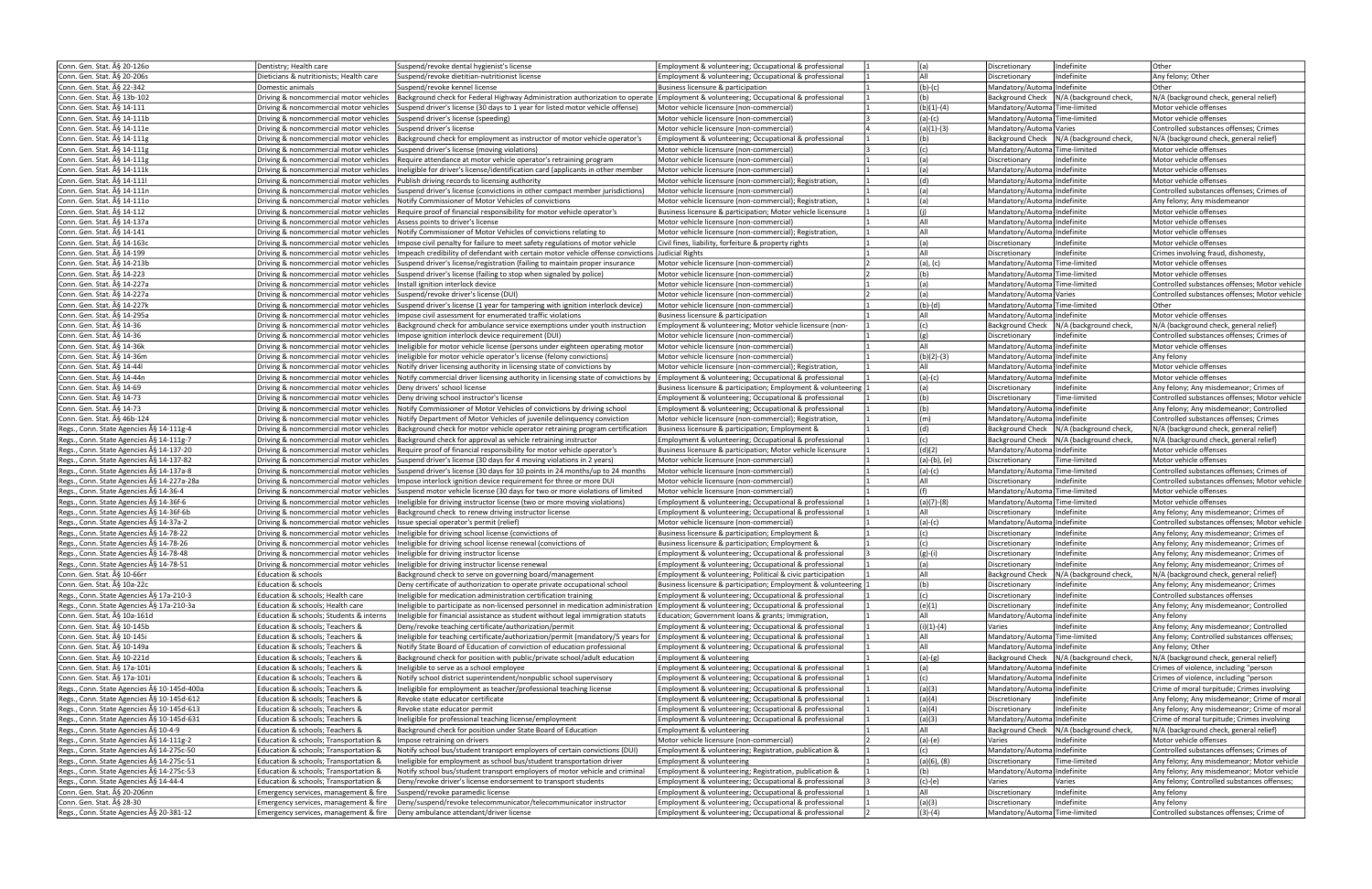| Conn. Gen. Stat. § 20-1260                                          | Dentistry; Health care                                                             | Suspend/revoke dental hygienist's license                                                                                                                                      | Employment & volunteering; Occupational & professional                                                           | (a)                 | Indefinite<br>Discretionary                                  | Other                                                  |
|---------------------------------------------------------------------|------------------------------------------------------------------------------------|--------------------------------------------------------------------------------------------------------------------------------------------------------------------------------|------------------------------------------------------------------------------------------------------------------|---------------------|--------------------------------------------------------------|--------------------------------------------------------|
| Conn. Gen. Stat. § 20-206s                                          | Dieticians & nutritionists; Health care                                            | Suspend/revoke dietitian-nutritionist license                                                                                                                                  | Employment & volunteering; Occupational & professional                                                           | All                 | Indefinite<br>Discretionary                                  | Any felony; Other                                      |
| Conn. Gen. Stat. § 22-342                                           | Domestic animals                                                                   | lSuspend/revoke kennel license                                                                                                                                                 | Business licensure & participation                                                                               | $(b)-(c)$           | Mandatory/AutomalIndefinite                                  | Other                                                  |
|                                                                     |                                                                                    |                                                                                                                                                                                |                                                                                                                  |                     |                                                              |                                                        |
| Conn. Gen. Stat. § 13b-102                                          |                                                                                    | Driving & noncommercial motor vehicles   Background check for Federal Highway Administration authorization to operate   Employment & volunteering; Occupational & professional |                                                                                                                  | (b)                 | <b>Background Check</b><br>N/A (background check,            | N/A (background check, general relief)                 |
| Conn. Gen. Stat. § 14-111                                           |                                                                                    | Driving & noncommercial motor vehicles Suspend driver's license (30 days to 1 year for listed motor vehicle offense)                                                           | Motor vehicle licensure (non-commercial)                                                                         | $(b)(1)-(4)$        | Mandatory/Automa Time-limited                                | Motor vehicle offenses                                 |
| Conn. Gen. Stat. § 14-111b                                          | Driving & noncommercial motor vehicles Suspend driver's license (speeding)         |                                                                                                                                                                                | Motor vehicle licensure (non-commercial)                                                                         | $(a)-(c)$           | Mandatory/Automa Time-limited                                | Motor vehicle offenses                                 |
| Conn. Gen. Stat. § 14-111e                                          | Driving & noncommercial motor vehicles Suspend driver's license                    |                                                                                                                                                                                | Motor vehicle licensure (non-commercial)                                                                         | $(a)(1)-(3)$        | Mandatory/Automa Varies                                      | Controlled substances offenses; Crimes                 |
| Conn. Gen. Stat. § 14-111g                                          |                                                                                    | Driving & noncommercial motor vehicles  Background check for employment as instructor of motor vehicle operator's                                                              | Employment & volunteering; Occupational & professional                                                           | (b)                 | Background Check   N/A (background check,                    | N/A (background check, general relief)                 |
| Conn. Gen. Stat. § 14-111g                                          | Driving & noncommercial motor vehicles                                             | Suspend driver's license (moving violations)                                                                                                                                   | Motor vehicle licensure (non-commercial)                                                                         | (c)                 | Mandatory/Automa Time-limited                                | Motor vehicle offenses                                 |
| Conn. Gen. Stat. § 14-111g                                          |                                                                                    | Driving & noncommercial motor vehicles   Require attendance at motor vehicle operator's retraining program                                                                     | Motor vehicle licensure (non-commercial)                                                                         | (a)                 | Indefinite<br>Discretionary                                  | Motor vehicle offenses                                 |
|                                                                     |                                                                                    |                                                                                                                                                                                |                                                                                                                  |                     |                                                              |                                                        |
| Conn. Gen. Stat. § 14-111k                                          | Driving & noncommercial motor vehicles                                             | Ineligible for driver's license/identification card (applicants in other member                                                                                                | Motor vehicle licensure (non-commercial)                                                                         | (a)                 | Mandatory/Automa Indefinite                                  | Motor vehicle offenses                                 |
| Conn. Gen. Stat. § 14-111                                           | Driving & noncommercial motor vehicles                                             | Publish driving records to licensing authority                                                                                                                                 | Motor vehicle licensure (non-commercial); Registration,                                                          | (d)                 | Mandatory/Automa Indefinite                                  | Motor vehicle offenses                                 |
| Conn. Gen. Stat. § 14-111n                                          | Driving & noncommercial motor vehicles                                             | Suspend driver's license (convictions in other compact member jurisdictions)                                                                                                   | Motor vehicle licensure (non-commercial)                                                                         | (a)                 | Mandatory/AutomalIndefinite                                  | Controlled substances offenses; Crimes of              |
| Conn. Gen. Stat. § 14-111o                                          | Driving & noncommercial motor vehicles                                             | Notify Commissioner of Motor Vehicles of convictions                                                                                                                           | Motor vehicle licensure (non-commercial); Registration,                                                          | (a)                 | Mandatory/AutomalIndefinite                                  | Any felony; Any misdemeanor                            |
| Conn. Gen. Stat. A§ 14-112                                          | Driving & noncommercial motor vehicles                                             | Require proof of financial responsibility for motor vehicle operator's                                                                                                         | Business licensure & participation: Motor vehicle licensure                                                      | (i)                 | Mandatory/AutomalIndefinite                                  | Motor vehicle offenses                                 |
| Conn. Gen. Stat. § 14-137a                                          | Driving & noncommercial motor vehicles                                             | Assess points to driver's license                                                                                                                                              | Motor vehicle licensure (non-commercial)                                                                         | laii                | Mandatory/Automa Indefinite                                  | Motor vehicle offenses                                 |
|                                                                     |                                                                                    |                                                                                                                                                                                |                                                                                                                  | All                 |                                                              |                                                        |
| Conn. Gen. Stat. § 14-141                                           | Driving & noncommercial motor vehicles                                             | Notify Commissioner of Motor Vehicles of convictions relating to                                                                                                               | Motor vehicle licensure (non-commercial); Registration,                                                          |                     | Mandatory/AutomalIndefinite                                  | Motor vehicle offenses                                 |
| Conn. Gen. Stat. ħ 14-163c                                          | Driving & noncommercial motor vehicles                                             | Impose civil penalty for failure to meet safety regulations of motor vehicle                                                                                                   | Civil fines, liability, forfeiture & property rights                                                             | (a)                 | Indefinite<br>Discretionary                                  | Motor vehicle offenses                                 |
| Conn. Gen. Stat. § 14-199                                           | Driving & noncommercial motor vehicles                                             | Impeach credibility of defendant with certain motor vehicle offense convictions Judicial Rights                                                                                |                                                                                                                  | All                 | Indefinite<br>Discretionary                                  | Crimes involving fraud, dishonesty,                    |
| Conn. Gen. Stat. § 14-213b                                          |                                                                                    | Driving & noncommercial motor vehicles Suspend driver's license/registration (failing to maintain proper insurance                                                             | Motor vehicle licensure (non-commercial)                                                                         | $(a)$ , $(c)$       | Mandatory/Automa Time-limited                                | Motor vehicle offenses                                 |
| Conn. Gen. Stat. § 14-223                                           |                                                                                    | Driving & noncommercial motor vehicles Suspend driver's license (failing to stop when signaled by police)                                                                      | Motor vehicle licensure (non-commercial)                                                                         | (b)                 | Mandatory/Automa Time-limited                                | Motor vehicle offenses                                 |
| Conn. Gen. Stat. § 14-227a                                          | Driving & noncommercial motor vehicles   Install ignition interlock device         |                                                                                                                                                                                | Motor vehicle licensure (non-commercial)                                                                         | (a)                 | Mandatory/AutomalTime-limited                                | Controlled substances offenses: Motor vehicle          |
|                                                                     |                                                                                    |                                                                                                                                                                                |                                                                                                                  |                     |                                                              |                                                        |
| Conn. Gen. Stat. § 14-227a                                          | Driving & noncommercial motor vehicles Suspend/revoke driver's license (DUI)       |                                                                                                                                                                                | Motor vehicle licensure (non-commercial)                                                                         | (a)                 | Mandatory/AutomalVaries                                      | Controlled substances offenses; Motor vehicle          |
| Conn. Gen. Stat. § 14-227k                                          | Driving & noncommercial motor vehicles                                             | Suspend driver's license (1 year for tampering with ignition interlock device)                                                                                                 | Motor vehicle licensure (non-commercial)                                                                         | $(b)-(d)$           | Mandatory/AutomalTime-limited                                | Other                                                  |
| Conn. Gen. Stat. § 14-295a                                          | Driving & noncommercial motor vehicles                                             | Impose civil assessment for enumerated traffic violations                                                                                                                      | Business licensure & participation                                                                               | All                 | Mandatory/Automa Indefinite                                  | Motor vehicle offenses                                 |
| Conn. Gen. Stat. § 14-36                                            |                                                                                    | Driving & noncommercial motor vehicles   Background check for ambulance service exemptions under youth instruction                                                             | Employment & volunteering; Motor vehicle licensure (non-                                                         | (c)                 | Background Check   N/A (background check,                    | N/A (background check, general relief)                 |
| Conn. Gen. Stat. § 14-36                                            | Driving & noncommercial motor vehicles                                             | (Impose ignition interlock device requirement (DUI)                                                                                                                            | Motor vehicle licensure (non-commercial)                                                                         | (g)                 | Indefinite<br>Discretionary                                  | Controlled substances offenses; Crimes of              |
| Conn. Gen. Stat. § 14-36k                                           | Driving & noncommercial motor vehicles                                             | Ineligible for motor vehicle license (persons under eighteen operating motor                                                                                                   | Motor vehicle licensure (non-commercial)                                                                         | All                 | Mandatory/Automa Indefinite                                  | Motor vehicle offenses                                 |
| Conn. Gen. Stat. § 14-36m                                           | Driving & noncommercial motor vehicles                                             | Ineligible for motor vehicle operator's license (felony convictions)                                                                                                           | Motor vehicle licensure (non-commercial)                                                                         | $(b)(2)-(3)$        | Mandatory/Automa Indefinite                                  | Any felony                                             |
|                                                                     |                                                                                    |                                                                                                                                                                                |                                                                                                                  |                     |                                                              |                                                        |
| Conn. Gen. Stat. § 14-44l                                           | Driving & noncommercial motor vehicles                                             | Notify driver licensing authority in licensing state of convictions by                                                                                                         | Motor vehicle licensure (non-commercial); Registration,                                                          | All                 | Mandatory/AutomalIndefinite                                  | Motor vehicle offenses                                 |
| Conn. Gen. Stat. § 14-44n                                           | Driving & noncommercial motor vehicles                                             | Notify commercial driver licensing authority in licensing state of convictions by Employment & volunteering; Occupational & professional                                       |                                                                                                                  | $(a)-(c)$           | Mandatory/Automa Indefinite                                  | Motor vehicle offenses                                 |
| Conn. Gen. Stat. § 14-69                                            | Driving & noncommercial motor vehicles                                             | Deny drivers' school license                                                                                                                                                   | Business licensure & participation; Employment & volunteering                                                    | (a)                 | Indefinite<br>Discretionary                                  | Any felony; Any misdemeanor; Crimes of                 |
| Conn. Gen. Stat. § 14-73                                            | Driving & noncommercial motor vehicles   Deny driving school instructor's license  |                                                                                                                                                                                | Employment & volunteering; Occupational & professional                                                           | (b)                 | Time-limited<br>Discretionary                                | Controlled substances offenses; Motor vehicle          |
| Conn. Gen. Stat. § 14-73                                            |                                                                                    | Driving & noncommercial motor vehicles   Notify Commissioner of Motor Vehicles of convictions by driving school                                                                | Employment & volunteering; Occupational & professional                                                           | (b)                 | Mandatory/AutomalIndefinite                                  | Any felony; Any misdemeanor; Controlled                |
| Conn. Gen. Stat. § 46b-124                                          |                                                                                    | Driving & noncommercial motor vehicles Notify Department of Motor Vehicles of juvenile delinguency conviction                                                                  | Motor vehicle licensure (non-commercial); Registration,                                                          | (m)                 | Mandatory/Automa Indefinite                                  | Controlled substances offenses; Crimes                 |
|                                                                     |                                                                                    |                                                                                                                                                                                |                                                                                                                  |                     |                                                              |                                                        |
| Regs., Conn. State Agencies § 14-111g-4                             |                                                                                    | Driving & noncommercial motor vehicles  Background check for motor vehicle operator retraining program certification                                                           | Business licensure & participation; Employment &                                                                 | (d)                 | Background Check   N/A (background check,                    | N/A (background check, general relief)                 |
| Regs., Conn. State Agencies § 14-111g-7                             |                                                                                    | Driving & noncommercial motor vehicles   Background check for approval as vehicle retraining instructor                                                                        | Employment & volunteering; Occupational & professional                                                           | (c)                 | Background Check   N/A (background check,                    | N/A (background check, general relief)                 |
| Regs., Conn. State Agencies § 14-137-20                             |                                                                                    | Driving & noncommercial motor vehicles  Require proof of financial responsibility for motor vehicle operator's                                                                 | Business licensure & participation; Motor vehicle licensure                                                      | (d)(2)              | Mandatory/Automa Indefinite                                  | Motor vehicle offenses                                 |
| Regs., Conn. State Agencies § 14-137-82                             |                                                                                    | Driving & noncommercial motor vehicles Suspend driver's license (30 days for 4 moving violations in 2 years)                                                                   | Motor vehicle licensure (non-commercial)                                                                         | $(a)-(b)$ , $(e)$   | Time-limited<br>Discretionary                                | Motor vehicle offenses                                 |
| Regs., Conn. State Agencies § 14-137a-8                             |                                                                                    | Driving & noncommercial motor vehicles Suspend driver's license (30 days for 10 points in 24 months/up to 24 months                                                            | Motor vehicle licensure (non-commercial)                                                                         | $(a)-(c)$           | Mandatory/Automa Time-limited                                | Controlled substances offenses; Crimes of              |
| Regs., Conn. State Agencies § 14-227a-28a                           | Driving & noncommercial motor vehicles                                             | Impose interlock ignition device requirement for three or more DUI                                                                                                             | Motor vehicle licensure (non-commercial)                                                                         | All                 | Indefinite<br>Discretionary                                  | Controlled substances offenses; Motor vehicle          |
|                                                                     |                                                                                    |                                                                                                                                                                                |                                                                                                                  | (f)                 |                                                              |                                                        |
| Regs., Conn. State Agencies § 14-36-4                               | Driving & noncommercial motor vehicles                                             | Suspend motor vehicle license (30 days for two or more violations of limited                                                                                                   | Motor vehicle licensure (non-commercial)                                                                         |                     | Mandatory/Automa Time-limited                                | Motor vehicle offenses                                 |
| Regs., Conn. State Agencies § 14-36f-6                              |                                                                                    | Driving & noncommercial motor vehicles  Ineligible for driving instructor license (two or more moving violations)                                                              | Employment & volunteering; Occupational & professional                                                           | $(a)(7)-(8)$        | Mandatory/Automa Time-limited                                | Motor vehicle offenses                                 |
| Regs., Conn. State Agencies § 14-36f-6b                             |                                                                                    | Driving & noncommercial motor vehicles   Background check to renew driving instructor license                                                                                  | Employment & volunteering; Occupational & professional                                                           | All                 | Indefinite<br>Discretionary                                  | Any felony; Any misdemeanor; Crimes of                 |
| Regs., Conn. State Agencies § 14-37a-2                              | Driving & noncommercial motor vehicles   Issue special operator's permit (relief)  |                                                                                                                                                                                | Motor vehicle licensure (non-commercial)                                                                         | $(a)-(c)$           | Mandatory/AutomalIndefinite                                  | Controlled substances offenses; Motor vehicle          |
| Regs., Conn. State Agencies § 14-78-22                              | Driving & noncommercial motor vehicles                                             | Ineligible for driving school license (convictions of                                                                                                                          | Business licensure & participation; Employment &                                                                 | (c)                 | Indefinite<br>Discretionary                                  | Any felony; Any misdemeanor; Crimes of                 |
| Regs., Conn. State Agencies § 14-78-26                              | Driving & noncommercial motor vehicles                                             | Ineligible for driving school license renewal (convictions of                                                                                                                  | Business licensure & participation; Employment &                                                                 | $\overline{c}$      | Indefinite<br>Discretionary                                  | Any felony; Any misdemeanor; Crimes of                 |
| Regs., Conn. State Agencies § 14-78-48                              |                                                                                    |                                                                                                                                                                                | Employment & volunteering; Occupational & professional                                                           | $(g)-(i)$           | Indefinite                                                   | Any felony; Any misdemeanor; Crimes of                 |
|                                                                     | Driving & noncommercial motor vehicles   Ineligible for driving instructor license |                                                                                                                                                                                |                                                                                                                  |                     | Discretionary                                                |                                                        |
| Regs., Conn. State Agencies § 14-78-51                              |                                                                                    | Driving & noncommercial motor vehicles  Ineligible for driving instructor license renewal                                                                                      | Employment & volunteering; Occupational & professional                                                           | (a)                 | Indefinite<br>J Discretionary                                | Any felony; Any misdemeanor; Crimes of                 |
| Conn. Gen. Stat. ħ 10-66rr                                          | Education & schools                                                                | Background check to serve on governing board/management                                                                                                                        | Employment & volunteering; Political & civic participation                                                       | All                 | Background Check   N/A (background check,                    | N/A (background check, general relief)                 |
| Conn. Gen. Stat. § 10a-22c                                          | Education & schools                                                                | Deny certificate of authorization to operate private occupational school                                                                                                       | Business licensure & participation; Employment & volunteering                                                    | (b)                 | Indefinite<br>Discretionary                                  | Any felony; Any misdemeanor; Crimes                    |
| Regs., Conn. State Agencies § 17a-210-3                             | Education & schools; Health care                                                   | Ineligible for medication administration certification training                                                                                                                | Employment & volunteering; Occupational & professional                                                           | (c)                 | Indefinite<br>Discretionary                                  | Controlled substances offenses                         |
| Regs., Conn. State Agencies § 17a-210-3a                            |                                                                                    |                                                                                                                                                                                |                                                                                                                  |                     |                                                              |                                                        |
| Conn. Gen. Stat. § 10a-161d                                         | Education & schools; Health care                                                   | Ineligible to participate as non-licensed personnel in medication administration Employment & volunteering; Occupational & professional                                        |                                                                                                                  |                     | Indefinite                                                   |                                                        |
|                                                                     |                                                                                    |                                                                                                                                                                                |                                                                                                                  | (e)(1)              | Discretionary                                                | Any felony; Any misdemeanor; Controlled                |
|                                                                     | Education & schools; Students & interns                                            | Ineligible for financial assistance as student without legal immigration statuts                                                                                               | Education; Government loans & grants; Immigration,                                                               | All                 | Mandatory/Automa Indefinite                                  | Any felony                                             |
| Conn. Gen. Stat. § 10-145b                                          | Education & schools; Teachers &                                                    | Deny/revoke teaching certificate/authorization/permit                                                                                                                          | Employment & volunteering; Occupational & professional                                                           | (i)(1)-(4)          | Indefinite<br>Varies                                         | Any felony; Any misdemeanor; Controlled                |
| Conn. Gen. Stat. § 10-145i                                          | Education & schools; Teachers &                                                    | Ineligible for teaching certificate/authorization/permit (mandatory/5 years for  Employment & volunteering; Occupational & professional                                        |                                                                                                                  | All                 | Mandatory/Automa Time-limited                                | Any felony; Controlled substances offenses;            |
| Conn. Gen. Stat. § 10-149a                                          | Education & schools; Teachers &                                                    | Notify State Board of Education of conviction of education professional                                                                                                        | Employment & volunteering; Occupational & professional                                                           | All                 | Mandatory/Automa Indefinite                                  | Any felony; Other                                      |
| Conn. Gen. Stat. § 10-221d                                          | Education & schools; Teachers &                                                    | Background check for position with public/private school/adult education                                                                                                       | Employment & volunteering                                                                                        | $(a)-(g)$           | Background Check   N/A (background check,                    | N/A (background check, general relief)                 |
|                                                                     |                                                                                    |                                                                                                                                                                                |                                                                                                                  | (a)                 |                                                              |                                                        |
| Conn. Gen. Stat. § 17a-101i                                         | Education & schools; Teachers &                                                    | Ineligible to serve as a school employee                                                                                                                                       | Employment & volunteering; Occupational & professional                                                           |                     | Mandatory/AutomalIndefinite                                  | Crimes of violence, including "person                  |
| Conn. Gen. Stat. § 17a-101i                                         | Education & schools; Teachers &                                                    | Notify school district superintendent/nonpublic school supervisory                                                                                                             | Employment & volunteering; Occupational & professional                                                           | (c)                 | Mandatory/Automa Indefinite                                  | Crimes of violence, including "person                  |
| Regs., Conn. State Agencies § 10-145d-400a                          | Education & schools; Teachers &                                                    | Ineligible for employment as teacher/professional teaching license                                                                                                             | Employment & volunteering; Occupational & professional                                                           | (a)(3)              | Mandatory/Automa Indefinite                                  | Crime of moral turpitude; Crimes involving             |
| Regs., Conn. State Agencies § 10-145d-612                           | Education & schools; Teachers &                                                    | Revoke state educator certificate                                                                                                                                              | Employment & volunteering; Occupational & professional                                                           | (a)(4)              | Indefinite<br>Discretionary                                  | Any felony; Any misdemeanor; Crime of moral            |
| Regs., Conn. State Agencies § 10-145d-613                           | Education & schools; Teachers &                                                    | Revoke state educator permit                                                                                                                                                   | Employment & volunteering; Occupational & professional                                                           | (a)(4)              | Indefinite<br>Discretionary                                  | Any felony; Any misdemeanor; Crime of moral            |
| Regs., Conn. State Agencies § 10-145d-631                           | Education & schools; Teachers &                                                    | Ineligible for professional teaching license/employment                                                                                                                        | Employment & volunteering; Occupational & professional                                                           | (a)(3)              | Mandatory/Automa Indefinite                                  | Crime of moral turpitude; Crimes involving             |
| Regs., Conn. State Agencies § 10-4-9                                | Education & schools; Teachers &                                                    | Background check for position under State Board of Education                                                                                                                   | Employment & volunteering                                                                                        | All                 | Background Check   N/A (background check,                    | N/A (background check, general relief)                 |
|                                                                     |                                                                                    |                                                                                                                                                                                |                                                                                                                  |                     | Indefinite                                                   |                                                        |
| Regs., Conn. State Agencies § 14-111g-2                             | Education & schools; Transportation &                                              | Impose retraining on drivers                                                                                                                                                   | Motor vehicle licensure (non-commercial)                                                                         | $(a)-(e)$           | Varies                                                       | Motor vehicle offenses                                 |
| Regs., Conn. State Agencies § 14-275c-50                            | Education & schools; Transportation &                                              | Notify school bus/student transport employers of certain convictions (DUI)                                                                                                     | Employment & volunteering; Registration, publication &                                                           | (c)                 | Mandatory/Automa Indefinite                                  | Controlled substances offenses; Crimes of              |
| Regs., Conn. State Agencies A§ 14-275c-51                           | Education & schools; Transportation &                                              | Ineligible for employment as school bus/student transportation driver                                                                                                          | Employment & volunteering                                                                                        | (a)(6), (8)         | Time-limited<br>Discretionary                                | Any felony; Any misdemeanor; Motor vehicle             |
| Regs., Conn. State Agencies § 14-275c-53                            | Education & schools; Transportation &                                              | Notify school bus/student transport employers of motor vehicle and criminal                                                                                                    | Employment & volunteering; Registration, publication &                                                           | (b)                 | Mandatory/Automa Indefinite                                  | Any felony; Any misdemeanor; Motor vehicle             |
| Regs., Conn. State Agencies § 14-44-4                               | Education & schools; Transportation &                                              | Deny/revoke driver's license endorsement to transport students                                                                                                                 | Employment & volunteering; Occupational & professional                                                           | $(c)-(e)$           | Varies<br>Varies                                             | Any felony; Controlled substances offenses;            |
| Conn. Gen. Stat. § 20-206nn                                         | Emergency services, management & fire                                              | Suspend/revoke paramedic license                                                                                                                                               | Employment & volunteering; Occupational & professional                                                           | All                 | Indefinite<br>Discretionary                                  | Any felony                                             |
|                                                                     |                                                                                    |                                                                                                                                                                                |                                                                                                                  |                     |                                                              |                                                        |
| Conn. Gen. Stat. § 28-30<br>Regs., Conn. State Agencies § 20-381-12 | Emergency services, management & fire                                              | Deny/suspend/revoke telecommunicator/telecommunicator instructor<br>Emergency services, management & fire   Deny ambulance attendant/driver license                            | Employment & volunteering; Occupational & professional<br>Employment & volunteering; Occupational & professional | (a)(3)<br>$(3)-(4)$ | Indefinite<br>Discretionary<br>Mandatory/Automa Time-limited | Any felony<br>Controlled substances offenses; Crime of |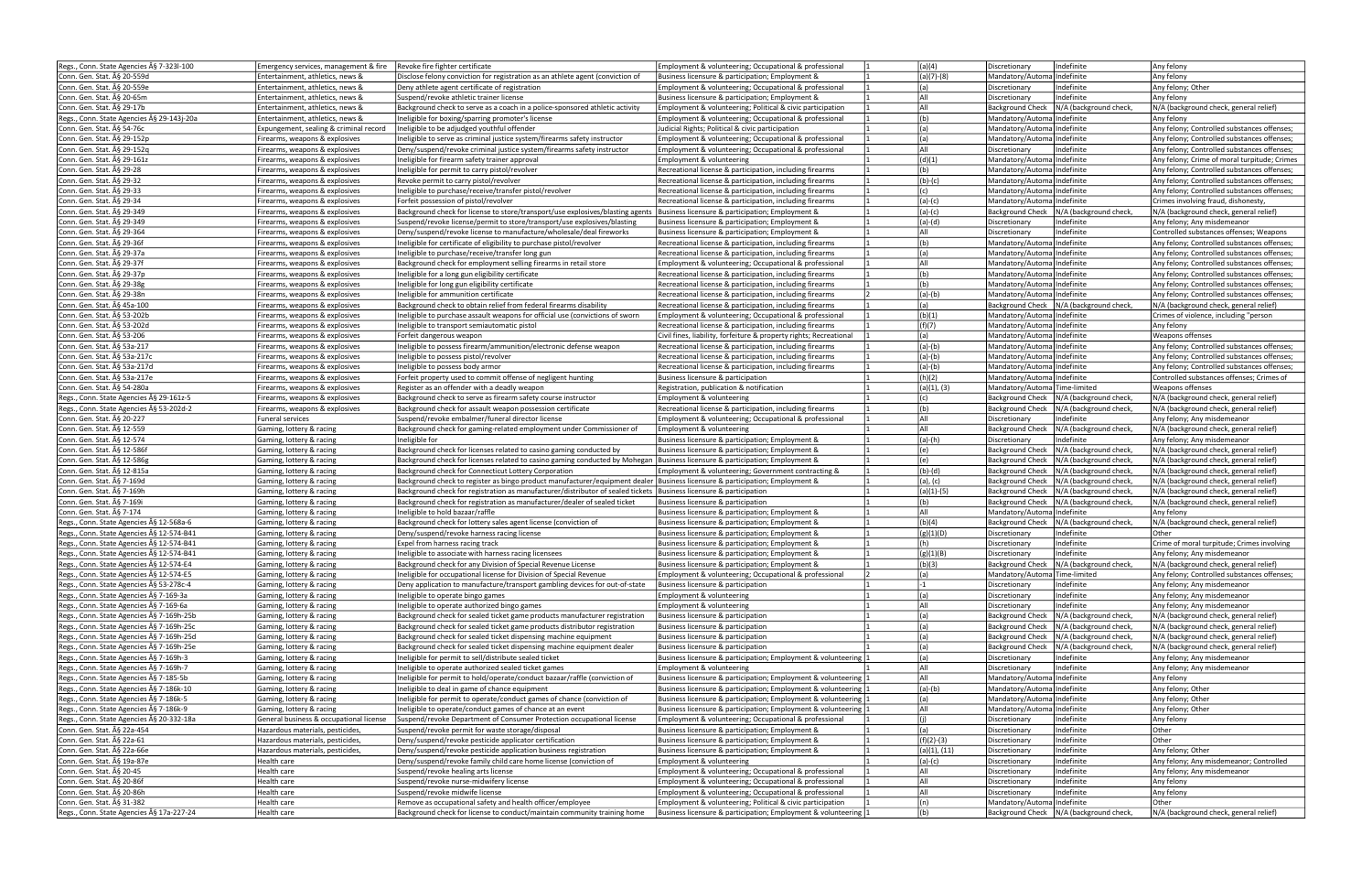|                                           | Emergency services, management & fire   Revoke fire fighter certificate |                                                                                                                                  | Employment & volunteering; Occupational & professional             | (a)(4)       | Indefinite<br>Discretionary                       | Any felony                                   |
|-------------------------------------------|-------------------------------------------------------------------------|----------------------------------------------------------------------------------------------------------------------------------|--------------------------------------------------------------------|--------------|---------------------------------------------------|----------------------------------------------|
| Regs., Conn. State Agencies § 7-323l-100  |                                                                         |                                                                                                                                  |                                                                    |              |                                                   |                                              |
| Conn. Gen. Stat. § 20-559d                | Entertainment, athletics, news &                                        | Disclose felony conviction for registration as an athlete agent (conviction of                                                   | Business licensure & participation; Employment &                   | $(a)(7)-(8)$ | Mandatory/AutomalIndefinite                       | Any felony                                   |
| Conn. Gen. Stat. § 20-559e                | Entertainment, athletics, news &                                        | Deny athlete agent certificate of registration                                                                                   | Employment & volunteering; Occupational & professional             | (a)          | Indefinite<br>Discretionary                       | Any felony; Other                            |
| Conn. Gen. Stat. § 20-65m                 | Entertainment, athletics, news &                                        | lSuspend/revoke athletic trainer license                                                                                         | Business licensure & participation; Employment &                   | All          | Indefinite<br>Discretionary                       | Any felony                                   |
| Conn. Gen. Stat. § 29-17b                 | Entertainment, athletics, news &                                        | Background check to serve as a coach in a police-sponsored athletic activity                                                     | Employment & volunteering; Political & civic participation         | laii         | <b>Background Check</b><br>N/A (background check, | N/A (background check, general relief)       |
|                                           |                                                                         |                                                                                                                                  |                                                                    |              |                                                   |                                              |
| Regs., Conn. State Agencies § 29-143j-20a | Entertainment, athletics, news &                                        | Ineligible for boxing/sparring promoter's license                                                                                | Employment & volunteering; Occupational & professional             | (b)          | Mandatory/AutomalIndefinite                       | Any felony                                   |
| Conn. Gen. Stat. § 54-76c                 | Expungement, sealing & criminal record                                  | Ineligible to be adjudged youthful offender                                                                                      | Judicial Rights; Political & civic participation                   | (a)          | Mandatory/Automa Indefinite                       | Any felony: Controlled substances offenses:  |
| Conn. Gen. Stat. § 29-152p                | Firearms, weapons & explosives                                          | Ineligible to serve as criminal justice system/firearms safety instructor                                                        | Employment & volunteering; Occupational & professional             | (a)          | Mandatory/Automa Indefinite                       | Any felony; Controlled substances offenses;  |
| Conn. Gen. Stat. § 29-152g                | Firearms, weapons & explosives                                          | Deny/suspend/revoke criminal justice system/firearms safety instructor                                                           | Employment & volunteering; Occupational & professional             | laii         | Indefinite<br>Discretionary                       | Any felony; Controlled substances offenses;  |
|                                           |                                                                         |                                                                                                                                  |                                                                    |              |                                                   |                                              |
| Conn. Gen. Stat. § 29-161z                | Firearms, weapons & explosives                                          | Ineligible for firearm safety trainer approval                                                                                   | Employment & volunteering                                          | (d)(1)       | Mandatory/Automa Indefinite                       | Any felony; Crime of moral turpitude; Crimes |
| Conn. Gen. Stat. § 29-28                  | Firearms, weapons & explosives                                          | Ineligible for permit to carry pistol/revolver                                                                                   | Recreational license & participation, including firearms           | (b)          | Mandatory/Automa Indefinite                       | Any felony; Controlled substances offenses;  |
| Conn. Gen. Stat. § 29-32                  | Firearms, weapons & explosives                                          | Revoke permit to carry pistol/revolver                                                                                           | Recreational license & participation, including firearms           | $(b)-(c)$    | Mandatory/AutomalIndefinite                       | Any felony: Controlled substances offenses:  |
|                                           |                                                                         |                                                                                                                                  |                                                                    |              |                                                   |                                              |
| Conn. Gen. Stat. § 29-33                  | Firearms, weapons & explosives                                          | Ineligible to purchase/receive/transfer pistol/revolver                                                                          | Recreational license & participation, including firearms           | (c)          | Mandatory/AutomalIndefinite                       | Any felony; Controlled substances offenses;  |
| Conn. Gen. Stat. § 29-34                  | Firearms, weapons & explosives                                          | Forfeit possession of pistol/revolver                                                                                            | Recreational license & participation, including firearms           | $(a)-(c)$    | Mandatory/AutomalIndefinite                       | Crimes involving fraud, dishonesty,          |
| Conn. Gen. Stat. § 29-349                 | Firearms, weapons & explosives                                          | Background check for license to store/transport/use explosives/blasting agents  Business licensure & participation; Employment & |                                                                    | $(a)-(c)$    | Background Check   N/A (background check,         | N/A (background check, general relief)       |
|                                           |                                                                         |                                                                                                                                  |                                                                    |              |                                                   |                                              |
| Conn. Gen. Stat. § 29-349                 | Firearms, weapons & explosives                                          | Suspend/revoke license/permit to store/transport/use explosives/blasting                                                         | Business licensure & participation; Employment &                   | $(a)-(d)$    | Indefinite<br>Discretionary                       | Any felony; Any misdemeanor                  |
| Conn. Gen. Stat. § 29-364                 | Firearms, weapons & explosives                                          | Deny/suspend/revoke license to manufacture/wholesale/deal fireworks                                                              | Business licensure & participation; Employment &                   | All          | Indefinite<br>Discretionary                       | Controlled substances offenses; Weapons      |
| Conn. Gen. Stat. § 29-36f                 | Firearms, weapons & explosives                                          | Ineligible for certificate of eligibility to purchase pistol/revolver                                                            | Recreational license & participation, including firearms           | (b)          | Mandatory/AutomalIndefinite                       | Any felony; Controlled substances offenses;  |
|                                           |                                                                         |                                                                                                                                  |                                                                    |              |                                                   |                                              |
| Conn. Gen. Stat. § 29-37a                 | Firearms, weapons & explosives                                          | Ineligible to purchase/receive/transfer long gun                                                                                 | Recreational license & participation, including firearms           | (a)          | Mandatory/AutomalIndefinite                       | Any felony; Controlled substances offenses   |
| Conn. Gen. Stat. § 29-37f                 | Firearms, weapons & explosives                                          | Background check for employment selling firearms in retail store                                                                 | Employment & volunteering; Occupational & professional             | All          | Mandatory/AutomalIndefinite                       | Any felony; Controlled substances offenses;  |
| Conn. Gen. Stat. § 29-37p                 | Firearms, weapons & explosives                                          | Ineligible for a long gun eligibility certificate                                                                                | Recreational license & participation, including firearms           | (b)          | Mandatory/Automa Indefinite                       | Any felony; Controlled substances offenses;  |
|                                           |                                                                         |                                                                                                                                  |                                                                    |              |                                                   |                                              |
| Conn. Gen. Stat. § 29-38g                 | Firearms, weapons & explosives                                          | Ineligible for long gun eligibility certificate                                                                                  | Recreational license & participation, including firearms           | (b)          | Mandatory/Automa Indefinite                       | Any felony; Controlled substances offenses;  |
| Conn. Gen. Stat. ħ 29-38n                 | Firearms, weapons & explosives                                          | Ineligible for ammunition certificate                                                                                            | Recreational license & participation, including firearms           | $(a)-(b)$    | Mandatory/Automa Indefinite                       | Any felony; Controlled substances offenses;  |
| Conn. Gen. Stat. § 45a-100                | Firearms, weapons & explosives                                          | Background check to obtain relief from federal firearms disability                                                               | Recreational license & participation, including firearms           | (a)          | Background Check   N/A (background check,         | N/A (background check, general relief)       |
|                                           |                                                                         |                                                                                                                                  |                                                                    |              |                                                   |                                              |
| lConn. Gen. Stat. § 53-202b               | Firearms, weapons & explosives                                          | Ineligible to purchase assault weapons for official use (convictions of sworn                                                    | Employment & volunteering; Occupational & professional             | (b)(1)       | Mandatory/AutomalIndefinite                       | Crimes of violence, including "person        |
| Conn. Gen. Stat. ħ 53-202d                | Firearms, weapons & explosives                                          | Ineligible to transport semiautomatic pistol                                                                                     | Recreational license & participation, including firearms           | (f)(7)       | Mandatory/Automa Indefinite                       | Any felony                                   |
| Conn. Gen. Stat. A§ 53-206                | Firearms, weapons & explosives                                          | Forfeit dangerous weapon                                                                                                         | Civil fines, liability, forfeiture & property rights; Recreational | (a)          | Mandatory/Automa Indefinite                       | Weapons offenses                             |
|                                           |                                                                         |                                                                                                                                  |                                                                    |              |                                                   |                                              |
| Conn. Gen. Stat. A§ 53a-217               | Firearms, weapons & explosives                                          | Ineligible to possess firearm/ammunition/electronic defense weapon                                                               | Recreational license & participation, including firearms           | $(a)-(b)$    | Mandatory/AutomalIndefinite                       | Any felony; Controlled substances offenses;  |
| Conn. Gen. Stat. § 53a-217c               | Firearms, weapons & explosives                                          | Ineligible to possess pistol/revolver                                                                                            | Recreational license & participation, including firearms           | $(a)-(b)$    | Mandatory/Automa Indefinite                       | Any felony; Controlled substances offenses;  |
| Conn. Gen. Stat. § 53a-217d               | Firearms, weapons & explosives                                          | Ineligible to possess body armor                                                                                                 | Recreational license & participation, including firearms           | $(a)-(b)$    | Mandatory/Automa Indefinite                       | Any felony: Controlled substances offenses:  |
|                                           |                                                                         |                                                                                                                                  |                                                                    |              |                                                   |                                              |
| Conn. Gen. Stat. § 53a-217e               | Firearms, weapons & explosives                                          | Forfeit property used to commit offense of negligent hunting                                                                     | Business licensure & participation                                 | (h)(2)       | Mandatory/AutomalIndefinite                       | Controlled substances offenses; Crimes of    |
| Conn. Gen. Stat. § 54-280a                | Firearms, weapons & explosives                                          | Register as an offender with a deadly weapon                                                                                     | Registration, publication & notification                           | (a)(1), (3)  | Mandatory/Automa Time-limited                     | Weapons offenses                             |
| Regs., Conn. State Agencies § 29-161z-5   | Firearms, weapons & explosives                                          | Background check to serve as firearm safety course instructor                                                                    | Employment & volunteering                                          | (c)          | Background Check   N/A (background check,         | N/A (background check, general relief)       |
|                                           |                                                                         |                                                                                                                                  |                                                                    |              |                                                   |                                              |
| Regs., Conn. State Agencies § 53-202d-2   | Firearms, weapons & explosives                                          | Background check for assault weapon possession certificate                                                                       | Recreational license & participation, including firearms           | (b)          | Background Check   N/A (background check,         | N/A (background check, general relief)       |
| Conn. Gen. Stat. § 20-227                 | Funeral services                                                        | Suspend/revoke embalmer/funeral director license                                                                                 | Employment & volunteering; Occupational & professional             | All          | Indefinite<br>Discretionary                       | Any felony; Any misdemeanor                  |
| Conn. Gen. Stat. § 12-559                 | Gaming, lottery & racing                                                | Background check for gaming-related employment under Commissioner of                                                             | Employment & volunteering                                          | All          | Background Check   N/A (background check,         | N/A (background check, general relief)       |
|                                           |                                                                         |                                                                                                                                  |                                                                    |              |                                                   |                                              |
| Conn. Gen. Stat. § 12-574                 | Gaming, lottery & racing                                                | Ineligible for                                                                                                                   | Business licensure & participation; Employment &                   | $(a)-(h)$    | Indefinite<br>Discretionary                       | Any felony; Any misdemeanor                  |
| Conn. Gen. Stat. § 12-586f                | Gaming, lottery & racing                                                | Background check for licenses related to casino gaming conducted by                                                              | Business licensure & participation; Employment &                   | (e)          | Background Check   N/A (background check,         | N/A (background check, general relief)       |
| Conn. Gen. Stat. A§ 12-586g               | Gaming, lottery & racing                                                | Background check for licenses related to casino gaming conducted by Mohegan  Business licensure & participation; Employment &    |                                                                    | (e)          | Background Check   N/A (background check,         | N/A (background check, general relief)       |
|                                           |                                                                         |                                                                                                                                  |                                                                    |              |                                                   |                                              |
| Conn. Gen. Stat. § 12-815a                | Gaming, lottery & racing                                                | Background check for Connecticut Lottery Corporation                                                                             | Employment & volunteering; Government contracting &                | $(b)-(d)$    | Background Check   N/A (background check,         | N/A (background check, general relief)       |
| Conn. Gen. Stat. ħ 7-169d                 | Gaming, lottery & racing                                                | Background check to register as bingo product manufacturer/equipment dealer Business licensure & participation; Employment &     |                                                                    | (a), (c)     | Background Check   N/A (background check,         | N/A (background check, general relief)       |
| Conn. Gen. Stat. § 7-169h                 | Gaming, lottery & racing                                                | Background check for registration as manufacturer/distributor of sealed tickets  Business licensure & participation              |                                                                    | (a)(1)-(5)   | Background Check   N/A (background check,         | N/A (background check, general relief)       |
| Conn. Gen. Stat. § 7-169i                 | Gaming, lottery & racing                                                |                                                                                                                                  | Business licensure & participation                                 | (b)          | Background Check   N/A (background check,         | N/A (background check, general relief)       |
|                                           |                                                                         | Background check for registration as manufacturer/dealer of sealed ticket                                                        |                                                                    |              |                                                   |                                              |
| Conn. Gen. Stat. § 7-174                  |                                                                         |                                                                                                                                  |                                                                    |              |                                                   |                                              |
|                                           | Gaming, lottery & racing                                                | Ineligible to hold bazaar/raffle                                                                                                 | Business licensure & participation; Employment &                   | All          | Mandatory/Automa Indefinite                       | Any felony                                   |
|                                           |                                                                         |                                                                                                                                  |                                                                    |              |                                                   |                                              |
| Regs., Conn. State Agencies § 12-568a-6   | Gaming, lottery & racing                                                | Background check for lottery sales agent license (conviction of                                                                  | Business licensure & participation; Employment &                   | (b)(4)       | Background Check   N/A (background check,         | N/A (background check, general relief)       |
| Regs., Conn. State Agencies § 12-574-B41  | Gaming, lottery & racing                                                | Deny/suspend/revoke harness racing license                                                                                       | Business licensure & participation; Employment &                   | (g)(1)(D)    | Discretionary<br>Indefinite                       | Other                                        |
| Regs., Conn. State Agencies § 12-574-B41  | Gaming, lottery & racing                                                | Expel from harness racing track                                                                                                  | Business licensure & participation; Employment &                   | (h)          | Indefinite<br>Discretionary                       | Crime of moral turpitude; Crimes involving   |
|                                           |                                                                         |                                                                                                                                  |                                                                    |              |                                                   |                                              |
| Regs., Conn. State Agencies § 12-574-B41  | Gaming, lottery & racing                                                | Ineligible to associate with harness racing licensees                                                                            | Business licensure & participation; Employment &                   | (g)(1)(B)    | Indefinite<br>Discretionary                       | Any felony; Any misdemeanor                  |
| Regs., Conn. State Agencies A§ 12-574-E4  | Gaming, lottery & racing                                                | Background check for any Division of Special Revenue License                                                                     | Business licensure & participation; Employment &                   | (b)(3)       | Background Check   N/A (background check,         | N/A (background check, general reliet)       |
| Regs., Conn. State Agencies § 12-574-E5   | Gaming, lottery & racing                                                | Ineligible for occupational license for Division of Special Revenue                                                              | Employment & volunteering; Occupational & professional             | (a)          | Mandatory/Automa Time-limited                     | Any felony; Controlled substances offenses;  |
| Regs., Conn. State Agencies § 53-278c-4   | Gaming, lottery & racing                                                | Deny application to manufacture/transport gambling devices for out-of-state                                                      | Business licensure & participation                                 | $-1$         | Indefinite<br>Discretionary                       | Any felony; Any misdemeanor                  |
|                                           |                                                                         |                                                                                                                                  |                                                                    |              |                                                   |                                              |
| Regs., Conn. State Agencies § 7-169-3a    | Gaming, lottery & racing                                                | Ineligible to operate bingo games                                                                                                | Employment & volunteering                                          | (a)          | Indefinite<br>Discretionary                       | Any felony; Any misdemeanor                  |
| Regs., Conn. State Agencies § 7-169-6a    | Gaming, lottery & racing                                                | Ineligible to operate authorized bingo games                                                                                     | Employment & volunteering                                          | All          | Indefinite<br>Discretionary                       | Any felony; Any misdemeanor                  |
| Regs., Conn. State Agencies § 7-169h-25b  | Gaming, lottery & racing                                                | Background check for sealed ticket game products manufacturer registration                                                       | Business licensure & participation                                 | (a)          | N/A (background check,<br><b>Background Check</b> | N/A (background check, general relief)       |
|                                           |                                                                         |                                                                                                                                  |                                                                    | (a)          | <b>Background Check</b>                           |                                              |
| Regs., Conn. State Agencies § 7-169h-25c  | Gaming, lottery & racing                                                | Background check for sealed ticket game products distributor registration                                                        | Business licensure & participation                                 |              | N/A (background check,                            | N/A (background check, general relief)       |
| Regs., Conn. State Agencies § 7-169h-25d  | Gaming, lottery & racing                                                | Background check for sealed ticket dispensing machine equipment                                                                  | Business licensure & participation                                 | (a)          | Background Check   N/A (background check,         | N/A (background check, general relief)       |
| Regs., Conn. State Agencies § 7-169h-25e  | Gaming, lottery & racing                                                | Background check for sealed ticket dispensing machine equipment dealer                                                           | Business licensure & participation                                 | (a)          | <b>Background Check</b><br>N/A (background check, | N/A (background check, general relief)       |
|                                           |                                                                         | Ineligible for permit to sell/distribute sealed ticket                                                                           | Business licensure & participation; Employment & volunteering      | (a)          | Indefinite<br>Discretionary                       |                                              |
| Regs., Conn. State Agencies § 7-169h-3    | Gaming, lottery & racing                                                |                                                                                                                                  |                                                                    |              |                                                   | Any felony; Any misdemeanor                  |
| Regs., Conn. State Agencies § 7-169h-7    | Gaming, lottery & racing                                                | Ineligible to operate authorized sealed ticket games                                                                             | Employment & volunteering                                          | laii         | Indefinite<br>Discretionary                       | Any felony; Any misdemeanor                  |
| Regs., Conn. State Agencies A§ 7-185-5b   | Gaming, lottery & racing                                                | Ineligible for permit to hold/operate/conduct bazaar/raffle (conviction of                                                       | Business licensure & participation; Employment & volunteering      | laii         | Mandatory/Automa Indefinite                       | Any felony                                   |
| Regs., Conn. State Agencies § 7-186k-10   |                                                                         | Ineligible to deal in game of chance equipment                                                                                   | Business licensure & participation; Employment & volunteering      |              | Mandatory/AutomalIndefinite                       | Any felony; Other                            |
|                                           | Gaming, lottery & racing                                                |                                                                                                                                  |                                                                    | $(a)-(b)$    |                                                   |                                              |
| Regs., Conn. State Agencies § 7-186k-5    | Gaming, lottery & racing                                                | Ineligible for permit to operate/conduct games of chance (conviction of                                                          | Business licensure & participation; Employment & volunteering      | (a)          | Mandatory/Automa Indefinite                       | Any felony; Other                            |
| Regs., Conn. State Agencies § 7-186k-9    | Gaming, lottery & racing                                                | Ineligible to operate/conduct games of chance at an event                                                                        | Business licensure & participation; Employment & volunteering 1    | All          | Mandatory/Automa Indefinite                       | Any felony; Other                            |
|                                           | General business & occupational license                                 | Suspend/revoke Department of Consumer Protection occupational license                                                            | Employment & volunteering; Occupational & professional             | (i)          | Indefinite<br>Discretionary                       | Any felony                                   |
| Regs., Conn. State Agencies § 20-332-18a  |                                                                         |                                                                                                                                  |                                                                    |              |                                                   |                                              |
| Conn. Gen. Stat. § 22a-454                | Hazardous materials, pesticides,                                        | Suspend/revoke permit for waste storage/disposal                                                                                 | Business licensure & participation; Employment &                   | (a)          | Indefinite<br>Discretionary                       | <b>Other</b>                                 |
| Conn. Gen. Stat. § 22a-61                 | Hazardous materials, pesticides,                                        | Deny/suspend/revoke pesticide applicator certification                                                                           | Business licensure & participation; Employment &                   | $(f)(2)-(3)$ | Indefinite<br>Discretionary                       | Other                                        |
| Conn. Gen. Stat. § 22a-66e                | Hazardous materials, pesticides,                                        | Deny/suspend/revoke pesticide application business registration                                                                  | Business licensure & participation; Employment &                   | (a)(1), (11) | Indefinite<br>Discretionary                       | Any felony; Other                            |
|                                           |                                                                         |                                                                                                                                  |                                                                    |              |                                                   |                                              |
| Conn. Gen. Stat. § 19a-87e                | Health care                                                             | Deny/suspend/revoke family child care home license (conviction of                                                                | Employment & volunteering                                          | $(a)-(c)$    | Indefinite<br>Discretionary                       | Any felony; Any misdemeanor; Controlled      |
| Conn. Gen. Stat. § 20-45                  | Health care                                                             | Suspend/revoke healing arts license                                                                                              | Employment & volunteering; Occupational & professional             | All          | Indefinite<br>Discretionary                       | Any felony; Any misdemeanor                  |
| Conn. Gen. Stat. § 20-86f                 | Health care                                                             | Suspend/revoke nurse-midwifery license                                                                                           | Employment & volunteering; Occupational & professional             | All          | Indefinite<br>Discretionary                       | Any felony                                   |
|                                           |                                                                         |                                                                                                                                  |                                                                    |              |                                                   |                                              |
| Conn. Gen. Stat. § 20-86h                 | Health care                                                             | Suspend/revoke midwife license                                                                                                   | Employment & volunteering; Occupational & professional             | All          | Indefinite<br>Discretionary                       | Any felony                                   |
| Conn. Gen. Stat. § 31-382                 | Health care                                                             | Remove as occupational safety and health officer/employee                                                                        | Employment & volunteering; Political & civic participation         | (n)          | Mandatory/Automa Indefinite                       | Other                                        |
| Regs., Conn. State Agencies § 17a-227-24  | Health care                                                             | Background check for license to conduct/maintain community training home                                                         | Business licensure & participation; Employment & volunteering 1    | (b)          | Background Check   N/A (background check,         | N/A (background check, general relief)       |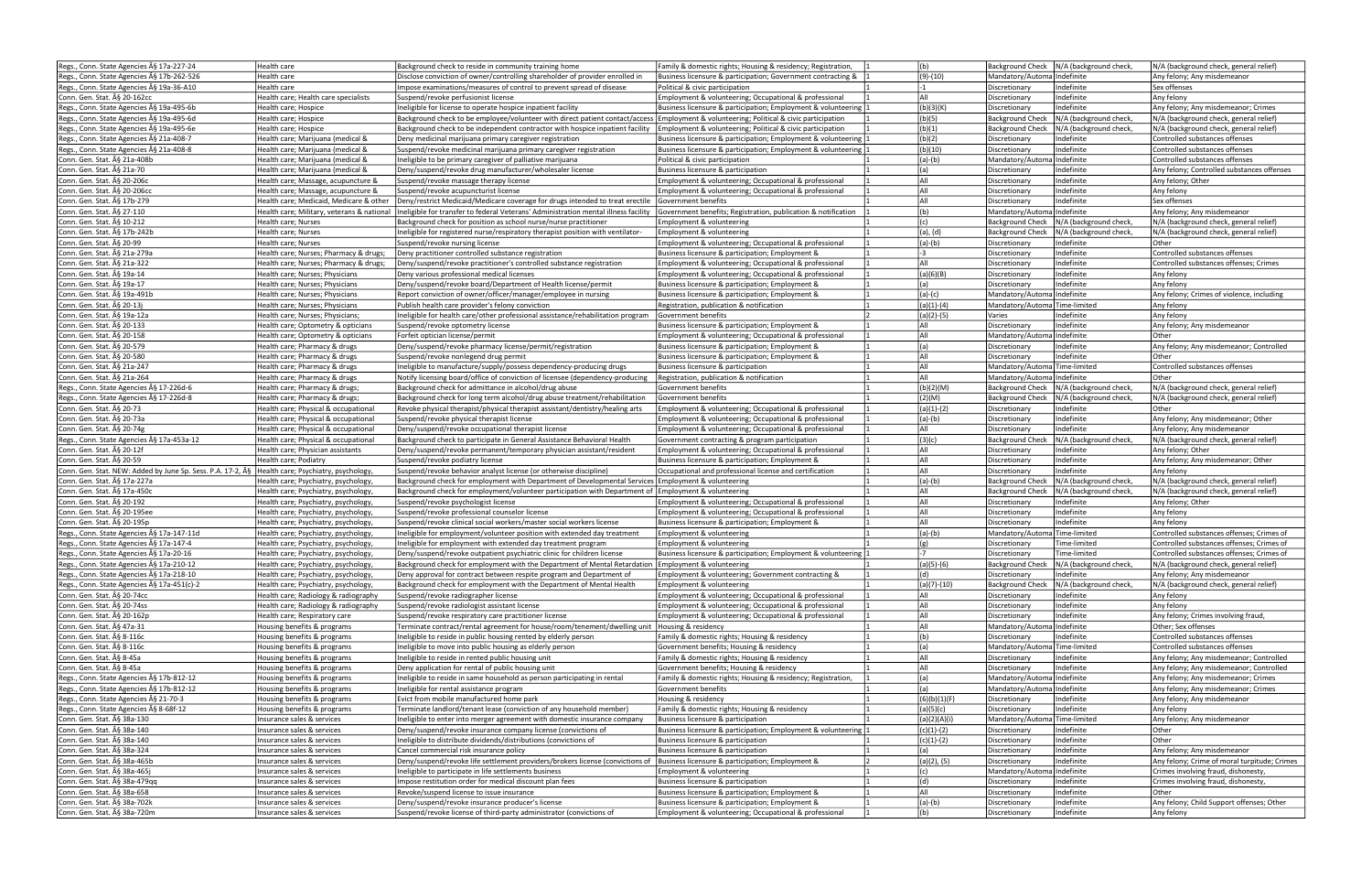| Regs., Conn. State Agencies § 17a-227-24                                                       | Health care                                              | Background check to reside in community training home                                                                                    | Family & domestic rights; Housing & residency; Registration,                                               | (b)            | Background Check   N/A (background check,                  | N/A (background check, general relief)                  |
|------------------------------------------------------------------------------------------------|----------------------------------------------------------|------------------------------------------------------------------------------------------------------------------------------------------|------------------------------------------------------------------------------------------------------------|----------------|------------------------------------------------------------|---------------------------------------------------------|
| Regs., Conn. State Agencies § 17b-262-526                                                      | Health care                                              | Disclose conviction of owner/controlling shareholder of provider enrolled in                                                             | Business licensure & participation; Government contracting &                                               | $(9)-(10)$     | Mandatory/AutomalIndefinite                                | Any felony; Any misdemeanor                             |
|                                                                                                |                                                          |                                                                                                                                          |                                                                                                            |                |                                                            |                                                         |
| Regs., Conn. State Agencies § 19a-36-A10                                                       | Health care                                              | Impose examinations/measures of control to prevent spread of disease                                                                     | Political & civic participation                                                                            | -1             | Indefinite<br>Discretionary                                | Sex offenses                                            |
| Conn. Gen. Stat. § 20-162cc                                                                    | Health care; Health care specialists                     | Suspend/revoke perfusionist license                                                                                                      | Employment & volunteering; Occupational & professional                                                     | laii           | Indefinite<br>Discretionary                                | Any felony                                              |
| Regs., Conn. State Agencies § 19a-495-6b                                                       | Health care; Hospice                                     | Ineligible for license to operate hospice inpatient facility                                                                             | Business licensure & participation; Employment & volunteering                                              | (b)(3)(K)      | Indefinite<br>Discretionary                                | Any felony; Any misdemeanor; Crimes                     |
| Regs., Conn. State Agencies § 19a-495-6d                                                       | Health care; Hospice                                     | Background check to be employee/volunteer with direct patient contact/access Employment & volunteering; Political & civic participation  |                                                                                                            | (b)(5)         | N/A (background check,<br><b>Background Check</b>          | N/A (background check, general relief)                  |
| Regs., Conn. State Agencies § 19a-495-6e                                                       | Health care; Hospice                                     | Background check to be independent contractor with hospice inpatient facility Employment & volunteering; Political & civic participation |                                                                                                            | (b)(1)         | N/A (background check,<br><b>Background Check</b>          | N/A (background check, general relief)                  |
|                                                                                                |                                                          |                                                                                                                                          |                                                                                                            |                | Indefinite                                                 |                                                         |
| Regs., Conn. State Agencies § 21a-408-7                                                        | Health care; Marijuana (medical &                        | Deny medicinal marijuana primary caregiver registration                                                                                  | Business licensure & participation; Employment & volunteering                                              | (b)(2)         | Discretionary                                              | Controlled substances offenses                          |
| Regs., Conn. State Agencies § 21a-408-8                                                        | Health care; Marijuana (medical &                        | Suspend/revoke medicinal marijuana primary caregiver registration                                                                        | Business licensure & participation; Employment & volunteering                                              | (b)(10)        | Indefinite<br>Discretionary                                | Controlled substances offenses                          |
| Conn. Gen. Stat. § 21a-408b                                                                    | Health care; Marijuana (medical &                        | Ineligible to be primary caregiver of palliative marijuana                                                                               | Political & civic participation                                                                            | $(a)-(b)$      | Mandatory/Automa Indefinite                                | Controlled substances offenses                          |
| Conn. Gen. Stat. § 21a-70                                                                      | Health care; Marijuana (medical &                        | Deny/suspend/revoke drug manufacturer/wholesaler license                                                                                 | Business licensure & participation                                                                         | (a)            | Indefinite<br>Discretionary                                | Any felony; Controlled substances offenses              |
| Conn. Gen. Stat. § 20-206c                                                                     | Health care; Massage, acupuncture &                      | Suspend/revoke massage therapy license                                                                                                   | Employment & volunteering; Occupational & professional                                                     | All            | Indefinite<br>Discretionary                                | Any felony; Other                                       |
|                                                                                                |                                                          |                                                                                                                                          |                                                                                                            | All            | Indefinite                                                 |                                                         |
| Conn. Gen. Stat. § 20-206cc                                                                    | Health care; Massage, acupuncture &                      | Suspend/revoke acupuncturist license                                                                                                     | Employment & volunteering; Occupational & professional                                                     |                | Discretionary                                              | Any felony                                              |
| Conn. Gen. Stat. § 17b-279                                                                     | Health care: Medicaid. Medicare & other                  | Deny/restrict Medicaid/Medicare coverage for drugs intended to treat erectile Government benefits                                        |                                                                                                            | All            | Indefinite<br>Discretionary                                | Sex offenses                                            |
| Conn. Gen. Stat. ħ 27-110                                                                      | Health care; Military, veterans & national               | Ineligible for transfer to federal Veterans' Administration mental illness facility                                                      | Government benefits; Registration, publication & notification                                              | (b)            | Mandatory/AutomalIndefinite                                | Any felony; Any misdemeanor                             |
| Conn. Gen. Stat. § 10-212                                                                      | Health care; Nurses                                      | Background check for position as school nurse/nurse practitioner                                                                         | Employment & volunteering                                                                                  | (c)            | N/A (background check,<br><b>Background Check</b>          | N/A (background check, general relief)                  |
| Conn. Gen. Stat. § 17b-242b                                                                    | Health care; Nurses                                      | Ineligible for registered nurse/respiratory therapist position with ventilator-                                                          | Employment & volunteering                                                                                  | (a), (d)       | <b>Background Check</b><br>N/A (background check,          | N/A (background check, general relief)                  |
|                                                                                                |                                                          |                                                                                                                                          | Employment & volunteering; Occupational & professional                                                     |                | Indefinite                                                 | Other                                                   |
| Conn. Gen. Stat. § 20-99                                                                       | Health care; Nurses                                      | Suspend/revoke nursing license                                                                                                           |                                                                                                            | $(a)-(b)$      | Discretionary                                              |                                                         |
| Conn. Gen. Stat. § 21a-279a                                                                    | Health care; Nurses; Pharmacy & drugs;                   | Deny practitioner controlled substance registration                                                                                      | Business licensure & participation; Employment &                                                           | $-3$           | Indefinite<br>Discretionary                                | Controlled substances offenses                          |
| Conn. Gen. Stat. § 21a-322                                                                     | Health care; Nurses; Pharmacy & drugs;                   | Deny/suspend/revoke practitioner's controlled substance registration                                                                     | Employment & volunteering; Occupational & professional                                                     | All            | Indefinite<br>Discretionary                                | Controlled substances offenses: Crimes                  |
| Conn. Gen. Stat. § 19a-14                                                                      | Health care; Nurses; Physicians                          | Deny various professional medical licenses                                                                                               | Employment & volunteering; Occupational & professional                                                     | (a)(6)(B)      | Indefinite<br>Discretionary                                | Any felony                                              |
| Conn. Gen. Stat. § 19a-17                                                                      | Health care; Nurses; Physicians                          | Deny/suspend/revoke board/Department of Health license/permit                                                                            | Business licensure & participation; Employment &                                                           | (a)            | Indefinite<br>Discretionary                                | Any felony                                              |
| Conn. Gen. Stat. § 19a-491b                                                                    |                                                          | Report conviction of owner/officer/manager/employee in nursing                                                                           | Business licensure & participation; Employment &                                                           | $(a)-(c)$      | Mandatory/Automa Indefinite                                | Any felony; Crimes of violence, including               |
|                                                                                                | Health care; Nurses; Physicians                          |                                                                                                                                          |                                                                                                            |                |                                                            |                                                         |
| Conn. Gen. Stat. § 20-13j                                                                      | Health care; Nurses; Physicians                          | Publish health care provider's felony conviction                                                                                         | Registration, publication & notification                                                                   | $(a)(1)-(4)$   | Mandatory/Automa Time-limited                              | Any felony                                              |
| Conn. Gen. Stat. § 19a-12a                                                                     | Health care; Nurses; Physicians;                         | Ineligible for health care/other professional assistance/rehabilitation program                                                          | Government benefits                                                                                        | (a)(2)-(5)     | Indefinite<br>Varies                                       | Any felony                                              |
| Conn. Gen. Stat. § 20-133                                                                      | Health care; Optometry & opticians                       | Suspend/revoke optometry license                                                                                                         | Business licensure & participation; Employment &                                                           | All            | Indefinite<br>Discretionary                                | Any felony; Any misdemeanor                             |
| Conn. Gen. Stat. § 20-158                                                                      | Health care; Optometry & opticians                       | Forfeit optician license/permit                                                                                                          | Employment & volunteering; Occupational & professional                                                     | All            | Mandatory/Automa Indefinite                                | Other                                                   |
| Conn. Gen. Stat. § 20-579                                                                      | Health care; Pharmacy & drugs                            | Deny/suspend/revoke pharmacy license/permit/registration                                                                                 | Business licensure & participation; Employment &                                                           | (a)            | Indefinite<br>Discretionary                                | Any felony; Any misdemeanor; Controlled                 |
|                                                                                                |                                                          |                                                                                                                                          |                                                                                                            |                |                                                            |                                                         |
| Conn. Gen. Stat. A§ 20-580                                                                     | Health care; Pharmacy & drugs                            | Suspend/revoke nonlegend drug permit                                                                                                     | Business licensure & participation: Employment &                                                           | laii           | Indefinite<br>Discretionary                                | Other                                                   |
| Conn. Gen. Stat. § 21a-247                                                                     | Health care; Pharmacy & drugs                            | Ineligible to manufacture/supply/possess dependency-producing drugs                                                                      | Business licensure & participation                                                                         | All            | Mandatory/Automa Time-limited                              | Controlled substances offenses                          |
| Conn. Gen. Stat. § 21a-264                                                                     | Health care; Pharmacy & drugs                            | Notify licensing board/office of conviction of licensee (dependency-producing                                                            | Registration, publication & notification                                                                   | All            | Mandatory/Automa Indefinite                                | Other                                                   |
| Regs., Conn. State Agencies § 17-226d-6                                                        | Health care; Pharmacy & drugs;                           | Background check for admittance in alcohol/drug abuse                                                                                    | Government benefits                                                                                        | (b)(2)(M)      | Background Check   N/A (background check,                  | N/A (background check, general relief)                  |
| Regs., Conn. State Agencies § 17-226d-8                                                        | Health care; Pharmacy & drugs;                           | Background check for long term alcohol/drug abuse treatment/rehabilitation                                                               | Government benefits                                                                                        | (2)(M)         | <b>Background Check</b><br>N/A (background check,          | N/A (background check, general relief)                  |
|                                                                                                |                                                          |                                                                                                                                          |                                                                                                            |                |                                                            |                                                         |
| Conn. Gen. Stat. § 20-73                                                                       | Health care; Physical & occupational                     | Revoke physical therapist/physical therapist assistant/dentistry/healing arts                                                            | Employment & volunteering; Occupational & professional                                                     | (a)(1)-(2)     | Indefinite<br>Discretionary                                | Other                                                   |
| Conn. Gen. Stat. § 20-73a                                                                      | Health care; Physical & occupational                     | Suspend/revoke physical therapist license                                                                                                | Employment & volunteering; Occupational & professional                                                     | $(a)-(b)$      | Indefinite<br>Discretionary                                | Any felony; Any misdemeanor; Other                      |
| Conn. Gen. Stat. § 20-74g                                                                      | Health care; Physical & occupational                     | Deny/suspend/revoke occupational therapist license                                                                                       | Employment & volunteering; Occupational & professional                                                     | All            | Indefinite<br>Discretionary                                | Any felony; Any misdemeanor                             |
| Regs., Conn. State Agencies § 17a-453a-12                                                      | Health care; Physical & occupational                     | Background check to participate in General Assistance Behavioral Health                                                                  | Government contracting & program participation                                                             | (3)(c)         | <b>Background Check</b><br>N/A (background check,          |                                                         |
|                                                                                                |                                                          |                                                                                                                                          |                                                                                                            |                |                                                            |                                                         |
|                                                                                                |                                                          |                                                                                                                                          |                                                                                                            |                |                                                            | N/A (background check, general relief)                  |
| Conn. Gen. Stat. § 20-12f                                                                      | Health care; Physician assistants                        | Deny/suspend/revoke permanent/temporary physician assistant/resident                                                                     | Employment & volunteering; Occupational & professional                                                     | All            | Indefinite<br>Discretionary                                | Any felony; Other                                       |
| Conn. Gen. Stat. § 20-59                                                                       | Health care; Podiatry                                    | Suspend/revoke podiatry license                                                                                                          | Business licensure & participation; Employment &                                                           | All            | Indefinite<br>Discretionary                                | Any felony; Any misdemeanor; Other                      |
| Conn. Gen. Stat. NEW: Added by June Sp. Sess. P.A. 17-2, § Health care; Psychiatry, psychology |                                                          | Suspend/revoke behavior analyst license (or otherwise discipline)                                                                        | Occupational and professional license and certification                                                    | laii           | Indefinite<br>Discretionary                                | Any felony                                              |
| Conn. Gen. Stat. § 17a-227a                                                                    | Health care; Psychiatry, psychology                      | Background check for employment with Department of Developmental Services Employment & volunteering                                      |                                                                                                            | $(a)-(b)$      | N/A (background check,<br><b>Background Check</b>          | N/A (background check, general relief)                  |
|                                                                                                |                                                          |                                                                                                                                          |                                                                                                            | All            |                                                            |                                                         |
| Conn. Gen. Stat. § 17a-450c                                                                    | Health care; Psychiatry, psychology                      | Background check for employment/volunteer participation with Department of Employment & volunteering                                     |                                                                                                            |                | N/A (background check,<br><b>Background Check</b>          | N/A (background check, general relief)                  |
| Conn. Gen. Stat. § 20-192                                                                      | Health care; Psychiatry, psychology                      | Suspend/revoke psychologist license                                                                                                      | Employment & volunteering; Occupational & professional                                                     | All            | Indefinite<br>Discretionary                                | Any felony; Other                                       |
| Conn. Gen. Stat. § 20-195ee                                                                    | Health care; Psychiatry, psychology                      | Suspend/revoke professional counselor license                                                                                            | Employment & volunteering; Occupational & professional                                                     | All            | Indefinite<br>Discretionary                                | Any felony                                              |
| Conn. Gen. Stat. § 20-195p                                                                     | Health care; Psychiatry, psychology,                     | Suspend/revoke clinical social workers/master social workers license                                                                     | Business licensure & participation; Employment &                                                           | All            | Indefinite<br>Discretionary                                | Any felony                                              |
| Regs., Conn. State Agencies § 17a-147-11d                                                      | Health care; Psychiatry, psychology                      | Ineligible for employment/volunteer position with extended day treatment                                                                 | Employment & volunteering                                                                                  | $(a)-(b)$      | Mandatory/AutomalTime-limited                              | Controlled substances offenses: Crimes of               |
| Regs., Conn. State Agencies § 17a-147-4                                                        | Health care; Psychiatry, psychology                      | Ineligible for employment with extended day treatment program                                                                            | Employment & volunteering                                                                                  |                | Time-limited<br>Discretionary                              | Controlled substances offenses; Crimes of               |
|                                                                                                |                                                          |                                                                                                                                          |                                                                                                            | $-7$           |                                                            |                                                         |
| Regs., Conn. State Agencies § 17a-20-16                                                        | Health care; Psychiatry, psychology                      | Deny/suspend/revoke outpatient psychiatric clinic for children license                                                                   | Business licensure & participation; Employment & volunteering                                              |                | Discretionary<br>Time-limited                              | Controlled substances offenses; Crimes of               |
| Regs., Conn. State Agencies § 17a-210-12                                                       | Health care; Psychiatry, psychology,                     | Background check for employment with the Department of Mental Retardation   Employment & volunteering                                    |                                                                                                            | $(a)(5)-(6)$   | Background Check   N/A (background check,                  | N/A (background check, general relief)                  |
| Regs., Conn. State Agencies § 17a-218-10                                                       | Health care; Psychiatry, psychology                      | Deny approval for contract between respite program and Department of                                                                     | Employment & volunteering; Government contracting &                                                        | (d)            | Indefinite<br>Discretionary                                | Any felony; Any misdemeanor                             |
| Regs., Conn. State Agencies § 17a-451(c)-2                                                     | Health care; Psychiatry, psychology,                     | Background check for employment with the Department of Mental Health                                                                     | Employment & volunteering                                                                                  | (a)(7)-(10)    | Background Check   N/A (background check,                  | N/A (background check, general relief)                  |
| Conn. Gen. Stat. § 20-74cc                                                                     | Health care; Radiology & radiography                     | Suspend/revoke radiographer license                                                                                                      | Employment & volunteering; Occupational & professional                                                     | All            | Indefinite<br>Discretionary                                | Any felony                                              |
| Conn. Gen. Stat. § 20-74ss                                                                     | Health care; Radiology & radiography                     | Suspend/revoke radiologist assistant license                                                                                             | Employment & volunteering; Occupational & professional                                                     | All            | Indefinite<br>Discretionary                                | Any felony                                              |
|                                                                                                |                                                          |                                                                                                                                          |                                                                                                            |                |                                                            |                                                         |
| Conn. Gen. Stat. § 20-162p                                                                     | Health care; Respiratory care                            | Suspend/revoke respiratory care practitioner license                                                                                     | Employment & volunteering; Occupational & professional                                                     | laii           | Indefinite<br>Discretionary                                | Any felony; Crimes involving fraud,                     |
| Conn. Gen. Stat. § 47a-31                                                                      | Housing benefits & programs                              | Terminate contract/rental agreement for house/room/tenement/dwelling unit Housing & residency                                            |                                                                                                            | laii           | Mandatory/Automa Indefinite                                | Other; Sex offenses                                     |
| Conn. Gen. Stat. § 8-116c                                                                      | Housing benefits & programs                              | Ineligible to reside in public housing rented by elderly person                                                                          | Family & domestic rights; Housing & residency                                                              | (b)            | Indefinite<br>Discretionary                                | Controlled substances offenses                          |
| Conn. Gen. Stat. § 8-116c                                                                      | Housing benefits & programs                              | Ineligible to move into public housing as elderly person                                                                                 | Government benefits; Housing & residency                                                                   | (a)            | Mandatory/Automa Time-limited                              | Controlled substances offenses                          |
| Conn. Gen. Stat. § 8-45a                                                                       | Housing benefits & programs                              | Ineligible to reside in rented public housing unit                                                                                       | Family & domestic rights; Housing & residency                                                              | laii           | Indefinite<br>Discretionary                                | Any felony; Any misdemeanor; Controlled                 |
| Conn. Gen. Stat. § 8-45a                                                                       |                                                          | Deny application for rental of public housing unit                                                                                       | Government benefits; Housing & residency                                                                   | All            | Indefinite<br>Discretionary                                | Any felony; Any misdemeanor; Controlled                 |
|                                                                                                | Housing benefits & programs                              |                                                                                                                                          |                                                                                                            |                |                                                            |                                                         |
| Regs., Conn. State Agencies § 17b-812-12                                                       | Housing benefits & programs                              | Ineligible to reside in same household as person participating in rental                                                                 | Family & domestic rights; Housing & residency; Registration,                                               | (a)            | Mandatory/Automa Indefinite                                | Any felony; Any misdemeanor; Crimes                     |
| Regs., Conn. State Agencies § 17b-812-12                                                       | Housing benefits & programs                              | Ineligible for rental assistance program                                                                                                 | Government benefits                                                                                        | (a)            | Mandatory/Automa Indefinite                                | Any felony; Any misdemeanor; Crimes                     |
| Regs., Conn. State Agencies § 21-70-3                                                          | Housing benefits & programs                              | Evict from mobile manufactured home park                                                                                                 | Housing & residency                                                                                        | (6)(b)(1)(F)   | Indefinite<br>Discretionary                                | Any felony; Any misdemeanor                             |
| Regs., Conn. State Agencies § 8-68f-12                                                         | Housing benefits & programs                              | Terminate landlord/tenant lease (conviction of any household member)                                                                     | Family & domestic rights; Housing & residency                                                              | (a)(5)(c)      | Indefinite<br>Discretionary                                | Any felony                                              |
| Conn. Gen. Stat. § 38a-130                                                                     | Insurance sales & services                               | Ineligible to enter into merger agreement with domestic insurance company                                                                | Business licensure & participation                                                                         | (a)(2)(A)(i)   | Mandatory/Automa Time-limited                              | Any felony; Any misdemeanor                             |
|                                                                                                |                                                          |                                                                                                                                          |                                                                                                            |                | Indefinite                                                 | Other                                                   |
| Conn. Gen. Stat. § 38a-140                                                                     | Insurance sales & services                               | Deny/suspend/revoke insurance company license (convictions of                                                                            | Business licensure & participation; Employment & volunteering                                              | (c)(1)-(2)     | Discretionary                                              |                                                         |
| Conn. Gen. Stat. § 38a-140                                                                     | Insurance sales & services                               | Ineligible to distribute dividends/distributions (convictions of                                                                         | Business licensure & participation                                                                         | (c)(1)-(2)     | Indefinite<br>Discretionary                                | Other                                                   |
| Conn. Gen. Stat. § 38a-324                                                                     | Insurance sales & services                               | Cancel commercial risk insurance policy                                                                                                  | Business licensure & participation                                                                         | (a)            | Indefinite<br>Discretionary                                | Any felony; Any misdemeanor                             |
| Conn. Gen. Stat. § 38a-465b                                                                    | Insurance sales & services                               | Deny/suspend/revoke life settlement providers/brokers license (convictions of  Business licensure & participation; Employment &          |                                                                                                            | (a)(2), (5)    | Indefinite<br>Discretionary                                | Any felony; Crime of moral turpitude; Crimes            |
| Conn. Gen. Stat. § 38a-465j                                                                    | Insurance sales & services                               | Ineligible to participate in life settlements business                                                                                   | Employment & volunteering                                                                                  | (c)            | Mandatory/Automa Indefinite                                | Crimes involving fraud, dishonesty,                     |
| Conn. Gen. Stat. § 38a-479gg                                                                   | Insurance sales & services                               | Impose restitution order for medical discount plan fees                                                                                  | Business licensure & participation                                                                         | (d)            | Indefinite<br>Discretionary                                | Crimes involving fraud, dishonesty,                     |
|                                                                                                |                                                          |                                                                                                                                          |                                                                                                            |                |                                                            |                                                         |
| Conn. Gen. Stat. § 38a-658                                                                     | Insurance sales & services                               | Revoke/suspend license to issue insurance                                                                                                | Business licensure & participation; Employment &                                                           | All            | Indefinite<br>Discretionary                                | Other                                                   |
| Conn. Gen. Stat. § 38a-702k<br>Conn. Gen. Stat. § 38a-720m                                     | Insurance sales & services<br>Insurance sales & services | Deny/suspend/revoke insurance producer's license<br>Suspend/revoke license of third-party administrator (convictions of                  | Business licensure & participation; Employment &<br>Employment & volunteering; Occupational & professional | (a)-(b)<br>(b) | Indefinite<br>Discretionary<br>Indefinite<br>Discretionary | Any felony; Child Support offenses; Other<br>Any felony |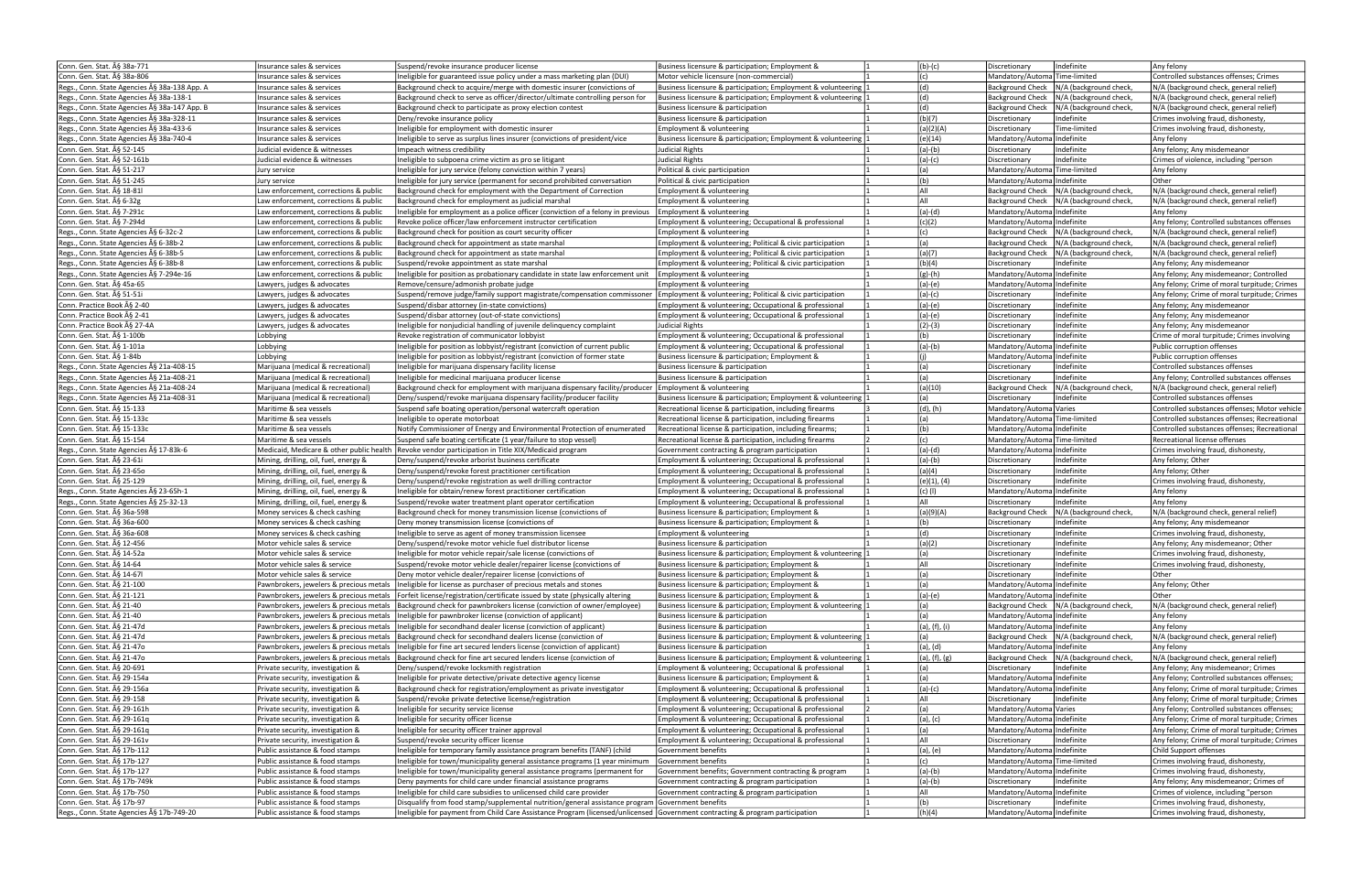| Conn. Gen. Stat. § 38a-771                   | Insurance sales & services               | Suspend/revoke insurance producer license                                                                                            | Business licensure & participation; Employment &              | $(b)-(c)$        | Indefinite<br>Discretionary                       | Any felony                                    |
|----------------------------------------------|------------------------------------------|--------------------------------------------------------------------------------------------------------------------------------------|---------------------------------------------------------------|------------------|---------------------------------------------------|-----------------------------------------------|
| Conn. Gen. Stat. § 38a-806                   | Insurance sales & services               | Ineligible for guaranteed issue policy under a mass marketing plan (DUI)                                                             | Motor vehicle licensure (non-commercial)                      | (c)              | Mandatory/AutomalTime-limited                     | Controlled substances offenses: Crimes        |
|                                              |                                          |                                                                                                                                      |                                                               |                  |                                                   |                                               |
| Regs., Conn. State Agencies § 38a-138 App. A | Insurance sales & services               | Background check to acquire/merge with domestic insurer (convictions of                                                              | Business licensure & participation; Employment & volunteering | (d)              | N/A (background check,<br><b>Background Check</b> | N/A (background check, general relief)        |
| Regs., Conn. State Agencies § 38a-138-1      | Insurance sales & services               | Background check to serve as officer/director/ultimate controlling person for                                                        | Business licensure & participation; Employment & volunteering | (d)              | N/A (background check,<br><b>Background Check</b> | N/A (background check, general relief)        |
| Regs., Conn. State Agencies § 38a-147 App. B | Insurance sales & services               | Background check to participate as proxy election contest                                                                            | Business licensure & participation                            | (d)              | N/A (background check,<br><b>Background Check</b> | N/A (background check, general relief)        |
| Regs., Conn. State Agencies § 38a-328-11     | Insurance sales & services               | Deny/revoke insurance policy                                                                                                         | Business licensure & participation                            | (b)(7)           | Indefinite<br>Discretionary                       | Crimes involving fraud, dishonesty,           |
| Regs., Conn. State Agencies § 38a-433-6      | Insurance sales & services               | Ineligible for employment with domestic insurer                                                                                      | Employment & volunteering                                     | (a)(2)(A)        | Time-limited<br>Discretionary                     | Crimes involving fraud, dishonesty,           |
| Regs., Conn. State Agencies § 38a-740-4      | Insurance sales & services               | Ineligible to serve as surplus lines insurer (convictions of president/vice                                                          | Business licensure & participation; Employment & volunteering |                  | Mandatory/Automa Indefinite                       |                                               |
|                                              |                                          |                                                                                                                                      |                                                               | (e)(14)          |                                                   | Any felony                                    |
| Conn. Gen. Stat. § 52-145                    | Judicial evidence & witnesses            | Impeach witness credibility                                                                                                          | <b>Judicial Rights</b>                                        | $(a)-(b)$        | Indefinite<br>Discretionary                       | Any felony; Any misdemeanor                   |
| Conn. Gen. Stat. A§ 52-161b                  | Judicial evidence & witnesses            | Ineligible to subpoena crime victim as pro se litigant                                                                               | <b>Judicial Rights</b>                                        | $(a)-(c)$        | Indefinite<br>Discretionary                       | Crimes of violence, including "person         |
| Conn. Gen. Stat. § 51-217                    | Jury service                             | Ineligible for jury service (felony conviction within 7 years)                                                                       | Political & civic participation                               | (a)              | Mandatory/AutomalTime-limited                     | Any felony                                    |
| Conn. Gen. Stat. A§ 51-245                   | Jury service                             | Ineligible for jury service (permanent for second prohibited conversation                                                            | Political & civic participation                               | (b)              | Mandatory/AutomalIndefinite                       | Other                                         |
| Conn. Gen. Stat. § 18-81                     | Law enforcement, corrections & public    | Background check for employment with the Department of Correction                                                                    | Employment & volunteering                                     | All              | Background Check   N/A (background check,         | N/A (background check, general relief)        |
|                                              |                                          |                                                                                                                                      |                                                               |                  |                                                   |                                               |
| Conn. Gen. Stat. § 6-32g                     | Law enforcement, corrections & public    | Background check for employment as iudicial marshal                                                                                  | Employment & volunteering                                     | All              | Background Check   N/A (background check,         | N/A (background check, general relief)        |
| Conn. Gen. Stat. § 7-291c                    | Law enforcement, corrections & public    | Ineligible for employment as a police officer (conviction of a felony in previous   Employment & volunteering                        |                                                               | $(a)-(d)$        | Mandatory/AutomalIndefinite                       | Any felony                                    |
| Conn. Gen. Stat. § 7-294d                    | Law enforcement, corrections & public    | Revoke police officer/law enforcement instructor certification                                                                       | Employment & volunteering; Occupational & professional        | (c)(2)           | Mandatory/AutomalIndefinite                       | Any felony; Controlled substances offenses    |
| Regs., Conn. State Agencies § 6-32c-2        | Law enforcement, corrections & public    | Background check for position as court security officer                                                                              | Employment & volunteering                                     | (c)              | Background Check   N/A (background check,         | N/A (background check, general relief)        |
| Regs., Conn. State Agencies § 6-38b-2        | Law enforcement, corrections & public    | Background check for appointment as state marshal                                                                                    | Employment & volunteering; Political & civic participation    | (a)              | N/A (background check,<br><b>Background Check</b> | N/A (background check, general relief)        |
|                                              |                                          |                                                                                                                                      |                                                               |                  |                                                   |                                               |
| Regs., Conn. State Agencies § 6-38b-5        | Law enforcement, corrections & public    | Background check for appointment as state marshal                                                                                    | Employment & volunteering; Political & civic participation    | (a)(7)           | <b>Background Check</b><br>N/A (background check, | N/A (background check, general relief)        |
| Regs., Conn. State Agencies § 6-38b-8        | Law enforcement, corrections & public    | Suspend/revoke appointment as state marshal                                                                                          | Employment & volunteering; Political & civic participation    | (b)(4)           | Indefinite<br>Discretionary                       | Any felony; Any misdemeanor                   |
| Regs., Conn. State Agencies § 7-294e-16      | Law enforcement, corrections & public    | neligible for position as probationary candidate in state law enforcement unit                                                       | Employment & volunteering                                     | (g)-(h)          | Mandatory/Automa Indefinite                       | Any felony; Any misdemeanor; Controlled       |
| Conn. Gen. Stat. § 45a-65                    | Lawyers, judges & advocates              | Remove/censure/admonish probate judge                                                                                                | Employment & volunteering                                     | (a)-(e)          | Mandatory/Automa Indefinite                       | Any felony; Crime of moral turpitude; Crimes  |
| Conn. Gen. Stat. § 51-51i                    | Lawyers, judges & advocates              | Suspend/remove judge/family support magistrate/compensation commissoner   Employment & volunteering; Political & civic participation |                                                               | $(a)-(c)$        | Indefinite<br>Discretionary                       | Any felony; Crime of moral turpitude; Crimes  |
| Conn. Practice Book § 2-40                   | Lawyers, judges & advocates              |                                                                                                                                      | Employment & volunteering; Occupational & professional        |                  | Indefinite<br>Discretionary                       | Any felony; Any misdemeanor                   |
|                                              |                                          | Suspend/disbar attorney (in-state convictions)                                                                                       |                                                               | $(a)-(e)$        |                                                   |                                               |
| Conn. Practice Book § 2-41                   | Lawyers, judges & advocates              | Suspend/disbar attornev (out-of-state convictions)                                                                                   | Employment & volunteering; Occupational & professional        | $(a)-(e)$        | Indefinite<br>Discretionary                       | Any felony; Any misdemeanor                   |
| Conn. Practice Book § 27-4A                  | Lawyers, judges & advocates              | Ineligible for nonjudicial handling of juvenile delinquency complaint                                                                | Judicial Rights                                               | $(2)-(3)$        | Indefinite<br>Discretionary                       | Any felony; Any misdemeanor                   |
| Conn. Gen. Stat. § 1-100b                    | Lobbying                                 | Revoke registration of communicator lobbyist                                                                                         | Employment & volunteering; Occupational & professional        | (b)              | Indefinite<br>Discretionary                       | Crime of moral turpitude; Crimes involving    |
| Conn. Gen. Stat. § 1-101a                    | Lobbying                                 | Ineligible for position as lobbyist/registrant (conviction of current public                                                         | Employment & volunteering; Occupational & professional        | $(a)-(b)$        | Mandatory/Automa Indefinite                       | Public corruption offenses                    |
| Conn. Gen. Stat. § 1-84b                     |                                          |                                                                                                                                      |                                                               | (i)              | Mandatory/Automa Indefinite                       |                                               |
|                                              | Lobbying                                 | Ineligible for position as lobbyist/registrant (conviction of former state                                                           | Business licensure & participation; Employment &              |                  |                                                   | Public corruption offenses                    |
| Regs., Conn. State Agencies § 21a-408-15     | Mariiuana (medical & recreational)       | Ineligible for marijuana dispensary facility license                                                                                 | Business licensure & participation                            | (a)              | Indefinite<br>Discretionary                       | Controlled substances offenses                |
| Regs., Conn. State Agencies § 21a-408-21     | Mariiuana (medical & recreational)       | Ineligible for medicinal marijuana producer license                                                                                  | Business licensure & participation                            | (a)              | Indefinite<br>Discretionary                       | Any felony; Controlled substances offenses    |
| Regs., Conn. State Agencies § 21a-408-24     | Marijuana (medical & recreational)       | Background check for employment with marijuana dispensary facility/producer Employment & volunteering                                |                                                               | (a)(10)          | N/A (background check,<br><b>Background Check</b> | N/A (background check, general relief)        |
| Regs., Conn. State Agencies § 21a-408-31     | Marijuana (medical & recreational)       | Deny/suspend/revoke marijuana dispensary facility/producer facility                                                                  | Business licensure & participation; Employment & volunteering | (a)              | Indefinite<br>Discretionary                       | Controlled substances offenses                |
|                                              |                                          |                                                                                                                                      |                                                               |                  |                                                   |                                               |
| Conn. Gen. Stat. § 15-133                    | Maritime & sea vessels                   | Suspend safe boating operation/personal watercraft operation                                                                         | Recreational license & participation, including firearms      | (d), (h)         | Mandatory/Automa Varies                           | Controlled substances offenses; Motor vehicle |
| Conn. Gen. Stat. § 15-133c                   | Maritime & sea vessels                   | Ineligible to operate motorboat                                                                                                      | Recreational license & participation, including firearms      | (a)              | Mandatory/Automa Time-limited                     | Controlled substances offenses; Recreational  |
| Conn. Gen. Stat. § 15-133c                   | Maritime & sea vessels                   | Notify Commissioner of Energy and Environmental Protection of enumerated                                                             | Recreational license & participation, including firearms;     | (b)              | Mandatory/Automa Indefinite                       | Controlled substances offenses; Recreational  |
| Conn. Gen. Stat. § 15-154                    | Maritime & sea vessels                   | Suspend safe boating certificate (1 year/failure to stop vessel)                                                                     | Recreational license & participation, including firearms      | (c)              | Mandatory/Automa Time-limited                     | Recreational license offenses                 |
| Regs., Conn. State Agencies § 17-83k-6       | Medicaid, Medicare & other public health | Revoke vendor participation in Title XIX/Medicaid program                                                                            | Government contracting & program participation                | $(a)-(d)$        | Mandatory/AutomalIndefinite                       | Crimes involving fraud, dishonesty,           |
| Conn. Gen. Stat. § 23-61i                    | Mining, drilling, oil, fuel, energy &    | Deny/suspend/revoke arborist business certificate                                                                                    | Employment & volunteering; Occupational & professional        | $(a)-(b)$        | Indefinite<br>Discretionary                       | Any felony; Other                             |
|                                              |                                          |                                                                                                                                      |                                                               |                  |                                                   |                                               |
| Conn. Gen. Stat. § 23-65o                    | Mining, drilling, oil, fuel, energy &    | Deny/suspend/revoke forest practitioner certification                                                                                | Employment & volunteering; Occupational & professional        | (a)(4)           | Indefinite<br>Discretionary                       | Any felony; Other                             |
| Conn. Gen. Stat. § 25-129                    | Mining, drilling, oil, fuel, energy &    | Deny/suspend/revoke registration as well drilling contractor                                                                         | Employment & volunteering; Occupational & professional        | $(e)(1)$ , $(4)$ | Indefinite<br>Discretionary                       | Crimes involving fraud, dishonesty,           |
| Regs., Conn. State Agencies § 23-65h-1       | Mining, drilling, oil, fuel, energy &    | Ineligible for obtain/renew forest practitioner certification                                                                        | Employment & volunteering; Occupational & professional        | $(c)$ (l)        | Mandatory/Automa Indefinite                       | Any felony                                    |
| Regs., Conn. State Agencies § 25-32-13       | Mining, drilling, oil, fuel, energy &    |                                                                                                                                      | Employment & volunteering; Occupational & professional        | All              | Indefinite<br>Discretionary                       | Any felony                                    |
| Conn. Gen. Stat. § 36a-598                   |                                          |                                                                                                                                      |                                                               |                  |                                                   |                                               |
|                                              |                                          | Suspend/revoke water treatment plant operator certification                                                                          |                                                               |                  |                                                   |                                               |
|                                              | Money services & check cashing           | Background check for money transmission license (convictions of                                                                      | Business licensure & participation: Employment &              | (a)(9)(A)        | N/A (background check,<br><b>Background Check</b> | N/A (background check, general relief)        |
| Conn. Gen. Stat. § 36a-600                   | Money services & check cashing           | Deny money transmission license (convictions of                                                                                      | Business licensure & participation; Employment &              | (b)              | Indefinite<br>Discretionary                       | Any felony; Any misdemeanor                   |
| Conn. Gen. Stat. § 36a-608                   | Money services & check cashing           | Ineligible to serve as agent of money transmission licensee                                                                          | Employment & volunteering                                     | (d)              | Indefinite<br>Discretionary                       | Crimes involving fraud, dishonesty,           |
| Conn. Gen. Stat. § 12-456                    | Motor vehicle sales & service            | Deny/suspend/revoke motor vehicle fuel distributor license                                                                           | Business licensure & participation                            | (a)(2)           | Indefinite<br>Discretionary                       | Any felony; Any misdemeanor; Other            |
| Conn. Gen. Stat. § 14-52a                    | Motor vehicle sales & service            | Ineligible for motor vehicle repair/sale license (convictions of                                                                     | Business licensure & participation; Employment & volunteering | (a)              | Indefinite<br>Discretionary                       | Crimes involving fraud, dishonesty,           |
|                                              |                                          |                                                                                                                                      |                                                               |                  |                                                   |                                               |
| Conn. Gen. Stat. § 14-64                     | Motor vehicle sales & service            | Suspend/revoke motor vehicle dealer/repairer license (convictions of                                                                 | Business licensure & participation; Employment &              | All              | Discretionary<br> Indefinite                      | (Crimes involving fraud, dishonesty           |
| Conn. Gen. Stat. § 14-67l                    | Motor vehicle sales & service            | Deny motor vehicle dealer/repairer license (convictions of                                                                           | Business licensure & participation; Employment &              | (a)              | Indefinite<br>Discretionary                       | Other                                         |
| Conn. Gen. Stat. § 21-100                    | Pawnbrokers, jewelers & precious metals  | Ineligible for license as purchaser of precious metals and stones                                                                    | Business licensure & participation; Employment &              | (a)              | Mandatory/Automa Indefinite                       | Any felony; Other                             |
| Conn. Gen. Stat. § 21-121                    | Pawnbrokers, jewelers & precious metals  | Forfeit license/registration/certificate issued by state (physically altering                                                        | Business licensure & participation; Employment &              | $(a)-(e)$        | Mandatory/Automa Indefinite                       | Other                                         |
| Conn. Gen. Stat. § 21-40                     | Pawnbrokers, jewelers & precious metals  | Background check for pawnbrokers license (conviction of owner/employee)                                                              | Business licensure & participation; Employment & volunteering | (a)              | Background Check   N/A (background check,         | N/A (background check, general relief)        |
| Conn. Gen. Stat. § 21-40                     | Pawnbrokers, jewelers & precious metals  | Ineligible for pawnbroker license (conviction of applicant)                                                                          | Business licensure & participation                            | (a)              | Mandatory/Automa Indefinite                       | Any felony                                    |
|                                              | Pawnbrokers, jewelers & precious metals  |                                                                                                                                      | Business licensure & participation                            |                  |                                                   |                                               |
| Conn. Gen. Stat. § 21-47d                    |                                          | Ineligible for secondhand dealer license (conviction of applicant)                                                                   |                                                               | (a), (f), (i)    | Mandatory/Automa Indefinite                       | Any felony                                    |
| Conn. Gen. Stat. § 21-47d                    | Pawnbrokers, jewelers & precious metals  | Background check for secondhand dealers license (conviction of                                                                       | Business licensure & participation; Employment & volunteering | (a)              | Background Check   N/A (background check,         | N/A (background check, general relief)        |
| Conn. Gen. Stat. § 21-47o                    | Pawnbrokers, jewelers & precious metals  | Ineligible for fine art secured lenders license (conviction of applicant)                                                            | Business licensure & participation                            | (a), (d)         | Mandatory/AutomalIndefinite                       | Any felony                                    |
| Conn. Gen. Stat. § 21-47o                    |                                          | Pawnbrokers, jewelers & precious metals   Background check for fine art secured lenders license (conviction of                       | Business licensure & participation; Employment & volunteering | (a), (f), (g)    | Background Check   N/A (background check,         | N/A (background check, general relief)        |
| Conn. Gen. Stat. A§ 20-691                   | Private security, investigation &        | Deny/suspend/revoke locksmith registration                                                                                           | Employment & volunteering; Occupational & professional        | (a)              | Indefinite<br>Discretionary                       | Any felony; Any misdemeanor; Crimes           |
| Conn. Gen. Stat. § 29-154a                   | Private security, investigation &        | Ineligible for private detective/private detective agency license                                                                    | Business licensure & participation; Employment &              | (a)              | Mandatory/Automa Indefinite                       | Any felony; Controlled substances offenses;   |
|                                              |                                          |                                                                                                                                      | Employment & volunteering; Occupational & professional        |                  |                                                   |                                               |
| Conn. Gen. Stat. § 29-156a                   | Private security, investigation &        | Background check for registration/employment as private investigator                                                                 |                                                               | $(a)-(c)$        | Mandatory/Automa Indefinite                       | Any felony; Crime of moral turpitude; Crimes  |
| Conn. Gen. Stat. A§ 29-158                   | Private security, investigation &        | Suspend/revoke private detective license/registration                                                                                | Employment & volunteering; Occupational & professional        | All              | Indefinite<br>Discretionary                       | Any felony; Crime of moral turpitude; Crimes  |
| Conn. Gen. Stat. § 29-161h                   | Private security, investigation &        | Ineligible for security service license                                                                                              | Employment & volunteering; Occupational & professional        | (a)              | Mandatory/Automa Varies                           | Any felony; Controlled substances offenses;   |
| Conn. Gen. Stat. A§ 29-161q                  | Private security, investigation &        | Ineligible for security officer license                                                                                              | Employment & volunteering; Occupational & professional        | $(a)$ , $(c)$    | Mandatory/Automa Indefinite                       | Any felony; Crime of moral turpitude; Crimes  |
| Conn. Gen. Stat. § 29-161q                   | Private security, investigation &        | Ineligible for security officer trainer approval                                                                                     | Employment & volunteering; Occupational & professional        | (a)              | Mandatory/Automa Indefinite                       | Any felony; Crime of moral turpitude; Crimes  |
| Conn. Gen. Stat. § 29-161v                   | Private security, investigation &        | Suspend/revoke security officer license                                                                                              | Employment & volunteering; Occupational & professional        | All              | Indefinite<br>Discretionary                       | Any felony; Crime of moral turpitude; Crimes  |
| Conn. Gen. Stat. § 17b-112                   | Public assistance & food stamps          | Ineligible for temporary family assistance program benefits (TANF) (child                                                            | Government benefits                                           |                  | Mandatory/Automa Indefinite                       | Child Support offenses                        |
|                                              |                                          |                                                                                                                                      |                                                               | $(a)$ , $(e)$    |                                                   |                                               |
| Conn. Gen. Stat. § 17b-127                   | Public assistance & food stamps          | Ineligible for town/municipality general assistance programs (1 year minimum                                                         | Government benefits                                           | (c)              | Mandatory/Automa Time-limited                     | Crimes involving fraud, dishonesty,           |
| Conn. Gen. Stat. § 17b-127                   | Public assistance & food stamps          | Ineligible for town/municipality general assistance programs (permanent for                                                          | Government benefits; Government contracting & program         | $(a)-(b)$        | Mandatory/Automa Indefinite                       | Crimes involving fraud, dishonesty,           |
| Conn. Gen. Stat. § 17b-749k                  | Public assistance & food stamps          | Deny payments for child care under financial assistance programs                                                                     | Government contracting & program participation                | (a)-(b)          | Indefinite<br>Discretionary                       | Any felony; Any misdemeanor; Crimes of        |
| Conn. Gen. Stat. A§ 17b-750                  | Public assistance & food stamps          | Ineligible for child care subsidies to unlicensed child care provider                                                                | Government contracting & program participation                | All              | Mandatory/Automa Indefinite                       | Crimes of violence, including "person         |
| Conn. Gen. Stat. § 17b-97                    | Public assistance & food stamps          | Disqualify from food stamp/supplemental nutrition/general assistance program Government benefits                                     |                                                               | (b)              | Indefinite<br>Discretionary                       | Crimes involving fraud, dishonesty,           |
| Regs., Conn. State Agencies § 17b-749-20     | Public assistance & food stamps          | Ineligible for payment from Child Care Assistance Program (licensed/unlicensed  Government contracting & program participation       |                                                               | (h)(4)           | Mandatory/Automa Indefinite                       | Crimes involving fraud, dishonesty,           |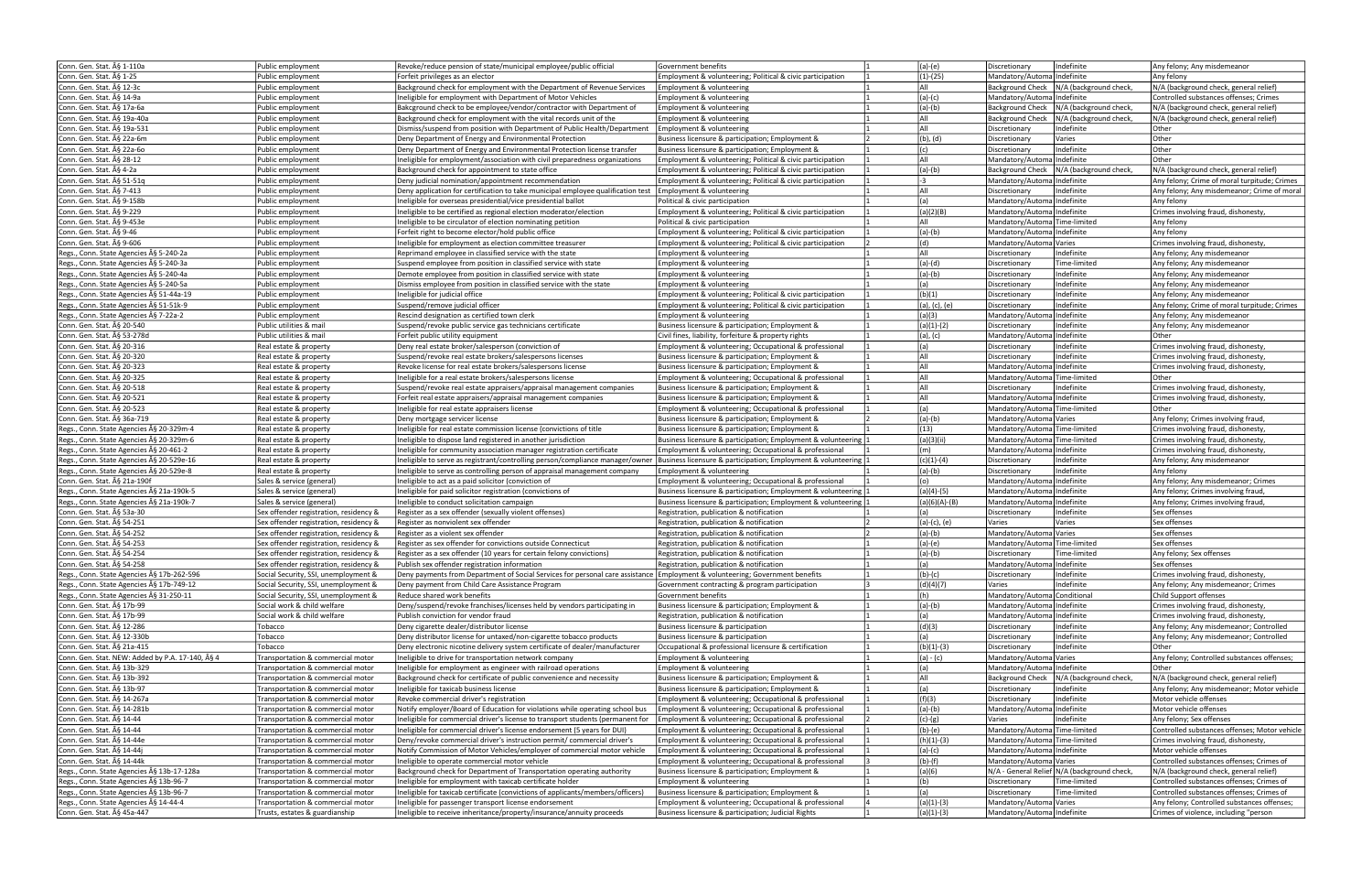| Conn. Gen. Stat. § 1-110a                                                             | Public employment                      | Revoke/reduce pension of state/municipal employee/public official                                                                            | <b>Sovernment benefits</b>                                      | $(a)-(e)$     | Indefinite<br>Discretionary                       | Any felony; Any misdemeanor                   |
|---------------------------------------------------------------------------------------|----------------------------------------|----------------------------------------------------------------------------------------------------------------------------------------------|-----------------------------------------------------------------|---------------|---------------------------------------------------|-----------------------------------------------|
| Conn. Gen. Stat. § 1-25                                                               | Public employment                      | Forfeit privileges as an elector                                                                                                             | Employment & volunteering; Political & civic participation      | (1)-(25)      | Mandatory/AutomalIndefinite                       | Any felony                                    |
| Conn. Gen. Stat. § 12-3c                                                              | Public employment                      | Background check for employment with the Department of Revenue Services                                                                      | Employment & volunteering                                       | All           | Background Check   N/A (background check,         | N/A (background check, general relief)        |
|                                                                                       |                                        |                                                                                                                                              |                                                                 |               |                                                   |                                               |
| Conn. Gen. Stat. § 14-9a                                                              | Public employment                      | Ineligible for employment with Department of Motor Vehicles                                                                                  | Employment & volunteering                                       | $(a)-(c)$     | Mandatory/AutomalIndefinite                       | Controlled substances offenses; Crimes        |
| Conn. Gen. Stat. § 17a-6a                                                             | Public employment                      | Bakcground check to be employee/vendor/contractor with Department of                                                                         | Employment & volunteering                                       | $(a)-(b)$     | Background Check   N/A (background check,         | N/A (background check, general relief)        |
| Conn. Gen. Stat. § 19a-40a                                                            | Public employment                      | Background check for employment with the vital records unit of the                                                                           | Employment & volunteering                                       | All           | N/A (background check,<br><b>Background Check</b> | N/A (background check, general relief)        |
| Conn. Gen. Stat. § 19a-531                                                            | Public employment                      | Dismiss/suspend from position with Department of Public Health/Department                                                                    | Employment & volunteering                                       | All           | Indefinite<br>Discretionary                       | Other                                         |
| Conn. Gen. Stat. § 22a-6m                                                             | Public employment                      | Deny Department of Energy and Environmental Protection                                                                                       | Business licensure & participation; Employment &                | $(b)$ , $(d)$ | Varies<br>Discretionary                           | Other                                         |
| Conn. Gen. Stat. § 22a-6o                                                             | Public employment                      | Deny Department of Energy and Environmental Protection license transfer                                                                      | Business licensure & participation; Employment &                | (c)           | Indefinite<br>Discretionary                       | Other                                         |
| Conn. Gen. Stat. § 28-12                                                              | Public employment                      | Ineligible for employment/association with civil preparedness organizations                                                                  | Employment & volunteering; Political & civic participation      | laii          | Mandatory/Automa Indefinite                       | Other                                         |
| Conn. Gen. Stat. § 4-2a                                                               | Public employment                      | Background check for appointment to state office                                                                                             | Employment & volunteering; Political & civic participation      | (a)-(b)       | Background Check   N/A (background check,         | N/A (background check, general relief)        |
|                                                                                       |                                        |                                                                                                                                              |                                                                 |               | Mandatory/Automa Indefinite                       |                                               |
| Conn. Gen. Stat. § 51-51q                                                             | Public employment                      | Deny judicial nomination/appointment recommendation                                                                                          | Employment & volunteering; Political & civic participation      | -3            |                                                   | Any felony; Crime of moral turpitude; Crimes  |
| Conn. Gen. Stat. § 7-413                                                              | Public employment                      | Deny application for certification to take municipal employee qualification test $\mathsf{[Employment \& }$ volunteering                     |                                                                 | All           | Indefinite<br>Discretionary                       | Any felony; Any misdemeanor; Crime of moral   |
| Conn. Gen. Stat. § 9-158b                                                             | Public employment                      | Ineligible for overseas presidential/vice presidential ballot                                                                                | Political & civic participation                                 | (a)           | Mandatory/AutomalIndefinite                       | Any felony                                    |
| Conn. Gen. Stat. § 9-229                                                              | Public employment                      | Ineligible to be certified as regional election moderator/election                                                                           | Employment & volunteering; Political & civic participation      | (a)(2)(B)     | Mandatory/AutomalIndefinite                       | Crimes involving fraud, dishonesty,           |
| Conn. Gen. Stat. § 9-453e                                                             | Public employment                      | Ineligible to be circulator of election nominating petition                                                                                  | Political & civic participation                                 | All           | Mandatory/Automa Time-limited                     | Any felony                                    |
| Conn. Gen. Stat. § 9-46                                                               | Public employment                      | Forfeit right to become elector/hold public office                                                                                           | Employment & volunteering; Political & civic participation      | $(a)-(b)$     | Mandatory/Automa Indefinite                       | Any felony                                    |
| Conn. Gen. Stat. § 9-606                                                              | Public employment                      | Ineligible for employment as election committee treasurer                                                                                    | Employment & volunteering; Political & civic participation      | (d)           | Mandatory/Automa Varies                           | Crimes involving fraud, dishonesty,           |
| Regs., Conn. State Agencies § 5-240-2a                                                |                                        |                                                                                                                                              |                                                                 | All           | Indefinite                                        | Any felony; Any misdemeanor                   |
|                                                                                       | Public employment                      | Reprimand employee in classified service with the state                                                                                      | Employment & volunteering                                       |               | Discretionary                                     |                                               |
| Regs., Conn. State Agencies § 5-240-3a                                                | Public employment                      | Suspend employee from position in classified service with state                                                                              | Employment & volunteering                                       | $(a)-(d)$     | Time-limited<br>Discretionary                     | Any felony; Any misdemeanor                   |
| Regs., Conn. State Agencies § 5-240-4a                                                | Public employment                      | Demote employee from position in classified service with state                                                                               | Employment & volunteering                                       | $(a)-(b)$     | Indefinite<br>Discretionary                       | Any felony; Any misdemeanor                   |
| Regs., Conn. State Agencies § 5-240-5a                                                | Public employment                      | Dismiss employee from position in classified service with the state                                                                          | Employment & volunteering                                       | (a)           | Indefinite<br>Discretionary                       | Any felony; Any misdemeanor                   |
| Regs., Conn. State Agencies § 51-44a-19                                               | Public employment                      | Ineligible for judicial office                                                                                                               | Employment & volunteering; Political & civic participation      | (b)(1)        | Indefinite<br>Discretionary                       | Any felony; Any misdemeanor                   |
| Regs., Conn. State Agencies § 51-51k-9                                                | Public employment                      | Suspend/remove judicial officer                                                                                                              | Employment & volunteering; Political & civic participation      | (a), (c), (e) | Indefinite<br>Discretionary                       | Any felony; Crime of moral turpitude; Crimes  |
| Regs., Conn. State Agencies § 7-22a-2                                                 | Public employment                      | Rescind designation as certified town clerk                                                                                                  | Employment & volunteering                                       | (a)(3)        | Mandatory/Automa Indefinite                       | Any felony; Any misdemeanor                   |
| Conn. Gen. Stat. § 20-540                                                             | Public utilities & mail                | Suspend/revoke public service gas technicians certificate                                                                                    | Business licensure & participation; Employment &                | $(a)(1)-(2)$  | Indefinite<br>Discretionary                       | Any felony; Any misdemeanor                   |
|                                                                                       |                                        |                                                                                                                                              |                                                                 |               |                                                   |                                               |
| Conn. Gen. Stat. § 53-278d                                                            | Public utilities & mail                | Forfeit public utility equipment                                                                                                             | Civil fines, liability, forfeiture & property rights            | (a), (c)      | Mandatory/AutomalIndefinite                       | Other                                         |
| Conn. Gen. Stat. § 20-316                                                             | Real estate & property                 | Deny real estate broker/salesperson (conviction of                                                                                           | Employment & volunteering; Occupational & professional          | (a)           | Indefinite<br>Discretionary                       | Crimes involving fraud, dishonesty,           |
| Conn. Gen. Stat. A§ 20-320                                                            | Real estate & property                 | lSuspend/revoke real estate brokers/salespersons licenses                                                                                    | Business licensure & participation: Employment &                | laii          | Indefinite<br>Discretionary                       | Crimes involving fraud, dishonesty,           |
| Conn. Gen. Stat. § 20-323                                                             | Real estate & property                 | Revoke license for real estate brokers/salespersons license                                                                                  | Business licensure & participation; Employment &                | laii          | Mandatory/AutomalIndefinite                       | Crimes involving fraud, dishonesty,           |
| Conn. Gen. Stat. § 20-325                                                             | Real estate & property                 | Ineligible for a real estate brokers/salespersons license                                                                                    | Employment & volunteering; Occupational & professional          | All           | Mandatory/Automa Time-limited                     | Other                                         |
| Conn. Gen. Stat. § 20-518                                                             | Real estate & property                 | Suspend/revoke real estate appraisers/appraisal management companies                                                                         | Business licensure & participation; Employment &                | laii          | Indefinite<br>Discretionary                       | Crimes involving fraud, dishonesty,           |
|                                                                                       |                                        |                                                                                                                                              |                                                                 |               |                                                   |                                               |
| Conn. Gen. Stat. § 20-521                                                             | Real estate & property                 | Forfeit real estate appraisers/appraisal management companies                                                                                | Business licensure & participation; Employment &                | laii          | Mandatory/Automa Indefinite                       | Crimes involving fraud, dishonesty,           |
| Conn. Gen. Stat. § 20-523                                                             | Real estate & property                 | Ineligible for real estate appraisers license                                                                                                | Employment & volunteering; Occupational & professional          | (a)           | Mandatory/Automa Time-limited                     | Other                                         |
| Conn. Gen. Stat. A§ 36a-719                                                           | Real estate & property                 | Deny mortgage servicer license                                                                                                               | Business licensure & participation; Employment &                | $(a)-(b)$     | Mandatory/Automa Varies                           | Any felony; Crimes involving fraud,           |
| Regs., Conn. State Agencies § 20-329m-4                                               | Real estate & property                 | Ineligible for real estate commission license (convictions of title                                                                          | Business licensure & participation; Employment &                | (13)          | Mandatory/AutomalTime-limited                     | Crimes involving fraud, dishonesty,           |
| Regs., Conn. State Agencies § 20-329m-6                                               | Real estate & property                 | Ineligible to dispose land registered in another jurisdiction                                                                                | Business licensure & participation; Employment & volunteering 1 | (a)(3)(ii)    | Mandatory/Automa Time-limited                     | Crimes involving fraud, dishonesty,           |
| Regs., Conn. State Agencies § 20-461-2                                                | Real estate & property                 | Ineligible for community association manager registration certificate                                                                        | Employment & volunteering; Occupational & professional          | (m)           | Mandatory/Automa Indefinite                       | Crimes involving fraud, dishonesty,           |
|                                                                                       |                                        |                                                                                                                                              |                                                                 |               |                                                   |                                               |
| Regs., Conn. State Agencies § 20-529e-16                                              | Real estate & property                 | Ineligible to serve as registrant/controlling person/compliance manager/owner  Business licensure & participation; Employment & volunteering |                                                                 | $(c)(1)-(4)$  | Indefinite<br>Discretionary                       | Any felony; Any misdemeanor                   |
| Regs., Conn. State Agencies § 20-529e-8                                               | Real estate & property                 | Ineligible to serve as controlling person of appraisal management company                                                                    | Employment & volunteering                                       | $(a)-(b)$     | Indefinite<br>Discretionary                       | Any felony                                    |
| Conn. Gen. Stat. § 21a-190f                                                           | Sales & service (general)              | Ineligible to act as a paid solicitor (conviction of                                                                                         | Employment & volunteering; Occupational & professional          | (o)           | Mandatory/AutomalIndefinite                       | Any felony; Any misdemeanor; Crimes           |
| Regs., Conn. State Agencies § 21a-190k-5                                              | Sales & service (general)              | Ineligible for paid solicitor registration (convictions of                                                                                   | Business licensure & participation; Employment & volunteering   | (a)(4)-(5)    | Mandatory/Automa Indefinite                       | Any felony; Crimes involving fraud,           |
| Regs., Conn. State Agencies § 21a-190k-7                                              | Sales & service (general)              | Ineligible to conduct solicitation campaign                                                                                                  | Business licensure & participation; Employment & volunteering   | (a)(6)(A)-(B) | Mandatory/AutomalIndefinite                       | Any felony; Crimes involving fraud,           |
| Conn. Gen. Stat. § 53a-30                                                             | Sex offender registration, residency & | Register as a sex offender (sexually violent offenses)                                                                                       | Registration, publication & notification                        | (a)           | Indefinite<br>Discretionary                       | Sex offenses                                  |
| Conn. Gen. Stat. § 54-251                                                             | Sex offender registration, residency & | Register as nonviolent sex offender                                                                                                          | Registration, publication & notification                        | (a)-(c), (e)  | Varies<br>Varies                                  | Sex offenses                                  |
|                                                                                       |                                        | Register as a violent sex offender                                                                                                           |                                                                 |               |                                                   |                                               |
| Conn. Gen. Stat. § 54-252                                                             | Sex offender registration, residency & |                                                                                                                                              |                                                                 |               |                                                   |                                               |
| Conn. Gen. Stat. § 54-253                                                             |                                        |                                                                                                                                              | Registration, publication & notification                        | $(a)-(b)$     | Mandatory/Automa Varies                           | Sex offenses                                  |
|                                                                                       | Sex offender registration, residency & | Register as sex offender for convictions outside Connecticut                                                                                 | Registration, publication & notification                        | (a)-(e)       | Mandatory/AutomalTime-limited                     | Sex offenses                                  |
| Conn. Gen. Stat. § 54-254                                                             | Sex offender registration, residency & | Register as a sex offender (10 years for certain felony convictions)                                                                         | Registration, publication & notification                        | (a)-(b)       | Discretionary<br>Time-limited                     | Any felony; Sex offenses                      |
| Conn. Gen. Stat. § 54-258                                                             | Sex offender registration, residency & | Publish sex offender registration information                                                                                                | Registration, publication & notification                        | (a)           | Mandatory/Automa Indefinite                       | Sex offenses                                  |
|                                                                                       | Social Security, SSI, unemployment &   | Deny payments from Department of Social Services for personal care assistance Employment & volunteering; Government benefits                 |                                                                 |               | Indefinite<br>Discretionary                       | Crimes involving fraud, dishonesty,           |
| Regs., Conn. State Agencies § 17b-262-596<br>Regs., Conn. State Agencies § 17b-749-12 |                                        |                                                                                                                                              |                                                                 | $(b)-(c)$     |                                                   |                                               |
|                                                                                       | Social Security, SSI, unemployment &   | Deny payment from Child Care Assistance Program                                                                                              | Government contracting & program participation                  | (d)(4)(7)     | Indefinite<br>Varies                              | Any felony; Any misdemeanor; Crimes           |
| Regs., Conn. State Agencies A§ 31-250-11                                              | Social Security, SSI, unemployment &   | Reduce shared work benefits                                                                                                                  | <b>Government benefits</b>                                      | (h)           | Mandatory/Automa Conditional                      | Child Support offenses                        |
| Conn. Gen. Stat. ħ 17b-99                                                             | Social work & child welfare            | Deny/suspend/revoke franchises/licenses held by vendors participating in                                                                     | Business licensure & participation; Employment &                | (a)-(b)       | Mandatory/Automa Indefinite                       | Crimes involving fraud, dishonesty,           |
| Conn. Gen. Stat. A§ 17b-99                                                            | Social work & child welfare            | Publish conviction for vendor fraud                                                                                                          | Registration, publication & notification                        | (a)           | Mandatory/Automa Indefinite                       | Crimes involving fraud, dishonesty,           |
| Conn. Gen. Stat. ħ 12-286                                                             | Tobacco                                | Deny cigarette dealer/distributor license                                                                                                    | Business licensure & participation                              | (d)(3)        | Indefinite<br>Discretionary                       | Any felony; Any misdemeanor; Controlled       |
| Conn. Gen. Stat. § 12-330b                                                            | Tobacco                                | Deny distributor license for untaxed/non-cigarette tobacco products                                                                          | Business licensure & participation                              | (a)           | Indefinite<br>Discretionary                       | Any felony; Any misdemeanor; Controlled       |
| Conn. Gen. Stat. § 21a-415                                                            | Tobacco                                | Deny electronic nicotine delivery system certificate of dealer/manufacturer                                                                  | Occupational & professional licensure & certification           | $(b)(1)-(3)$  | Indefinite<br>Discretionary                       | Other                                         |
|                                                                                       |                                        |                                                                                                                                              |                                                                 |               |                                                   |                                               |
| Conn. Gen. Stat. NEW: Added by P.A. 17-140, § 4                                       | Transportation & commercial motor      | Ineligible to drive for transportation network company                                                                                       | Employment & volunteering                                       | (a) - (c)     | Mandatory/Automa Varies                           | Any felony; Controlled substances offenses    |
| Conn. Gen. Stat. § 13b-329                                                            | Transportation & commercial motor      | Ineligible for employment as engineer with railroad operations                                                                               | Employment & volunteering                                       | (a)           | Mandatory/Automa Indefinite                       | Other                                         |
| Conn. Gen. Stat. § 13b-392                                                            | Transportation & commercial motor      | Background check for certificate of public convenience and necessity                                                                         | Business licensure & participation; Employment &                | All           | Background Check   N/A (background check,         | N/A (background check, general relief)        |
| Conn. Gen. Stat. § 13b-97                                                             | Transportation & commercial motor      | Ineligible for taxicab business license                                                                                                      | Business licensure & participation; Employment &                | (a)           | Indefinite<br>Discretionary                       | Any felony; Any misdemeanor; Motor vehicle    |
| Conn. Gen. Stat. § 14-267a                                                            | Fransportation & commercial motor      | Revoke commercial driver's registration                                                                                                      | Employment & volunteering; Occupational & professional          | (f)(3)        | Indefinite<br>Discretionary                       | Motor vehicle offenses                        |
| Conn. Gen. Stat. § 14-281b                                                            | Transportation & commercial motor      | Notify employer/Board of Education for violations while operating school bus                                                                 | Employment & volunteering; Occupational & professional          | $(a)-(b)$     | Mandatory/Automa Indefinite                       | Motor vehicle offenses                        |
| Conn. Gen. Stat. § 14-44                                                              | Transportation & commercial motor      | Ineligible for commercial driver's license to transport students (permanent for                                                              | Employment & volunteering; Occupational & professional          | $(c)-(g)$     | Indefinite<br>Varies                              | Any felony; Sex offenses                      |
| Conn. Gen. Stat. § 14-44                                                              | Transportation & commercial motor      | Ineligible for commercial driver's license endorsement (5 years for DUI)                                                                     | Employment & volunteering; Occupational & professional          | (b)-(e)       | Mandatory/Automa Time-limited                     | Controlled substances offenses; Motor vehicle |
|                                                                                       |                                        |                                                                                                                                              |                                                                 |               |                                                   |                                               |
| Conn. Gen. Stat. ħ 14-44e                                                             | Transportation & commercial motor      | Deny/revoke commercial driver's instruction permit/ commercial driver's                                                                      | Employment & volunteering; Occupational & professional          | (h)(1)-(3)    | Mandatory/Automa Time-limited                     | Crimes involving fraud, dishonesty,           |
| Conn. Gen. Stat. § 14-44j                                                             | Transportation & commercial motor      | Notify Commission of Motor Vehicles/employer of commercial motor vehicle                                                                     | Employment & volunteering; Occupational & professional          | (a)-(c)       | Mandatory/Automa Indefinite                       | Motor vehicle offenses                        |
| Conn. Gen. Stat. ħ 14-44k                                                             | Transportation & commercial motor      | Ineligible to operate commercial motor vehicle                                                                                               | Employment & volunteering; Occupational & professional          | $(b)-(f)$     | Mandatory/Automa Varies                           | Controlled substances offenses; Crimes of     |
| Regs., Conn. State Agencies § 13b-17-128a                                             | Transportation & commercial motor      | Background check for Department of Transportation operating authority                                                                        | Business licensure & participation; Employment &                | (a)(6)        | N/A - General Relief N/A (background check,       | N/A (background check, general relief)        |
| Regs., Conn. State Agencies § 13b-96-7                                                | Transportation & commercial motor      | Ineligible for employment with taxicab certificate holder                                                                                    | Employment & volunteering                                       | (b)           | Discretionary<br>Time-limited                     | Controlled substances offenses; Crimes of     |
| Regs., Conn. State Agencies § 13b-96-7                                                | Transportation & commercial motor      | (Ineligible for taxicab certificate (convictions of applicants/members/officers)                                                             | Business licensure & participation; Employment &                | (a)           | Time-limited<br>Discretionary                     | Controlled substances offenses; Crimes of     |
| Regs., Conn. State Agencies § 14-44-4                                                 | Transportation & commercial motor      | Ineligible for passenger transport license endorsement                                                                                       | Employment & volunteering; Occupational & professional          | (a)(1)-(3)    | Mandatory/Automa Varies                           | Any felony; Controlled substances offenses;   |
| Conn. Gen. Stat. § 45a-447                                                            | Trusts, estates & guardianship         | Ineligible to receive inheritance/property/insurance/annuity proceeds                                                                        | Business licensure & participation; Judicial Rights             | (a)(1)-(3)    | Mandatory/Automa Indefinite                       | Crimes of violence, including "person         |